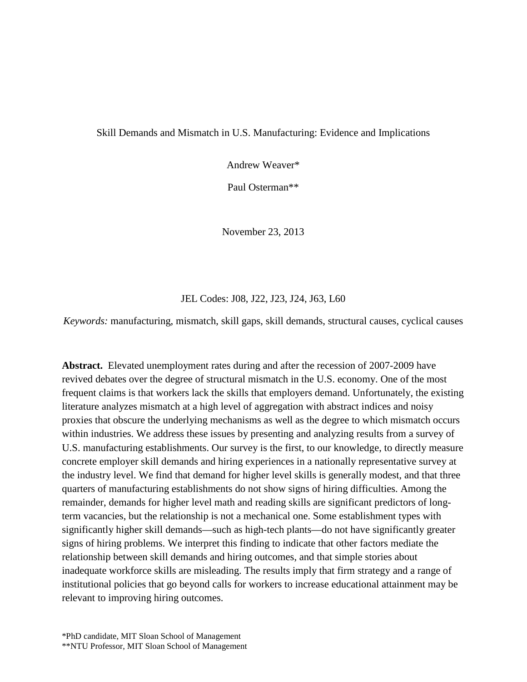Skill Demands and Mismatch in U.S. Manufacturing: Evidence and Implications

Andrew Weaver\*

Paul Osterman\*\*

November 23, 2013

JEL Codes: J08, J22, J23, J24, J63, L60

*Keywords:* manufacturing, mismatch, skill gaps, skill demands, structural causes, cyclical causes

**Abstract.** Elevated unemployment rates during and after the recession of 2007-2009 have revived debates over the degree of structural mismatch in the U.S. economy. One of the most frequent claims is that workers lack the skills that employers demand. Unfortunately, the existing literature analyzes mismatch at a high level of aggregation with abstract indices and noisy proxies that obscure the underlying mechanisms as well as the degree to which mismatch occurs within industries. We address these issues by presenting and analyzing results from a survey of U.S. manufacturing establishments. Our survey is the first, to our knowledge, to directly measure concrete employer skill demands and hiring experiences in a nationally representative survey at the industry level. We find that demand for higher level skills is generally modest, and that three quarters of manufacturing establishments do not show signs of hiring difficulties. Among the remainder, demands for higher level math and reading skills are significant predictors of longterm vacancies, but the relationship is not a mechanical one. Some establishment types with significantly higher skill demands—such as high-tech plants—do not have significantly greater signs of hiring problems. We interpret this finding to indicate that other factors mediate the relationship between skill demands and hiring outcomes, and that simple stories about inadequate workforce skills are misleading. The results imply that firm strategy and a range of institutional policies that go beyond calls for workers to increase educational attainment may be relevant to improving hiring outcomes.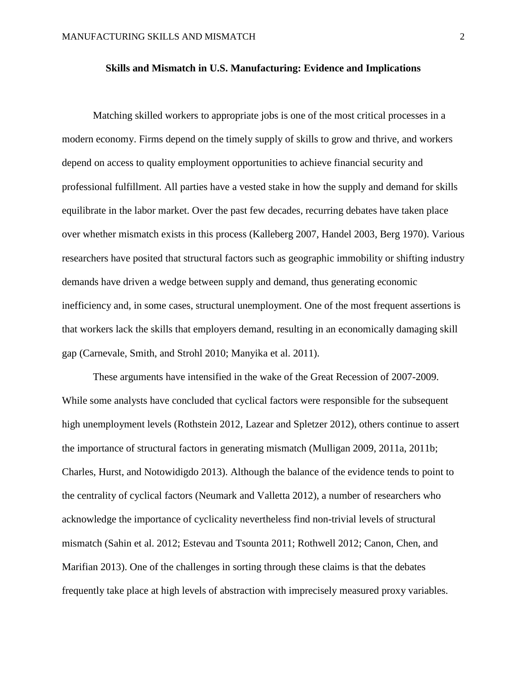# **Skills and Mismatch in U.S. Manufacturing: Evidence and Implications**

Matching skilled workers to appropriate jobs is one of the most critical processes in a modern economy. Firms depend on the timely supply of skills to grow and thrive, and workers depend on access to quality employment opportunities to achieve financial security and professional fulfillment. All parties have a vested stake in how the supply and demand for skills equilibrate in the labor market. Over the past few decades, recurring debates have taken place over whether mismatch exists in this process (Kalleberg 2007, Handel 2003, Berg 1970). Various researchers have posited that structural factors such as geographic immobility or shifting industry demands have driven a wedge between supply and demand, thus generating economic inefficiency and, in some cases, structural unemployment. One of the most frequent assertions is that workers lack the skills that employers demand, resulting in an economically damaging skill gap (Carnevale, Smith, and Strohl 2010; Manyika et al. 2011).

These arguments have intensified in the wake of the Great Recession of 2007-2009. While some analysts have concluded that cyclical factors were responsible for the subsequent high unemployment levels (Rothstein 2012, Lazear and Spletzer 2012), others continue to assert the importance of structural factors in generating mismatch (Mulligan 2009, 2011a, 2011b; Charles, Hurst, and Notowidigdo 2013). Although the balance of the evidence tends to point to the centrality of cyclical factors (Neumark and Valletta 2012), a number of researchers who acknowledge the importance of cyclicality nevertheless find non-trivial levels of structural mismatch (Sahin et al. 2012; Estevau and Tsounta 2011; Rothwell 2012; Canon, Chen, and Marifian 2013). One of the challenges in sorting through these claims is that the debates frequently take place at high levels of abstraction with imprecisely measured proxy variables.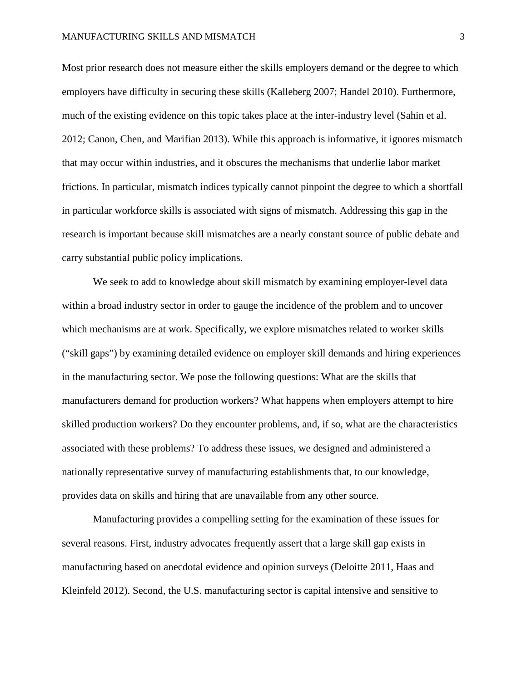Most prior research does not measure either the skills employers demand or the degree to which employers have difficulty in securing these skills (Kalleberg 2007; Handel 2010). Furthermore, much of the existing evidence on this topic takes place at the inter-industry level (Sahin et al. 2012; Canon, Chen, and Marifian 2013). While this approach is informative, it ignores mismatch that may occur within industries, and it obscures the mechanisms that underlie labor market frictions. In particular, mismatch indices typically cannot pinpoint the degree to which a shortfall in particular workforce skills is associated with signs of mismatch. Addressing this gap in the research is important because skill mismatches are a nearly constant source of public debate and carry substantial public policy implications.

We seek to add to knowledge about skill mismatch by examining employer-level data within a broad industry sector in order to gauge the incidence of the problem and to uncover which mechanisms are at work. Specifically, we explore mismatches related to worker skills ("skill gaps") by examining detailed evidence on employer skill demands and hiring experiences in the manufacturing sector. We pose the following questions: What are the skills that manufacturers demand for production workers? What happens when employers attempt to hire skilled production workers? Do they encounter problems, and, if so, what are the characteristics associated with these problems? To address these issues, we designed and administered a nationally representative survey of manufacturing establishments that, to our knowledge, provides data on skills and hiring that are unavailable from any other source.

Manufacturing provides a compelling setting for the examination of these issues for several reasons. First, industry advocates frequently assert that a large skill gap exists in manufacturing based on anecdotal evidence and opinion surveys (Deloitte 2011, Haas and Kleinfeld 2012). Second, the U.S. manufacturing sector is capital intensive and sensitive to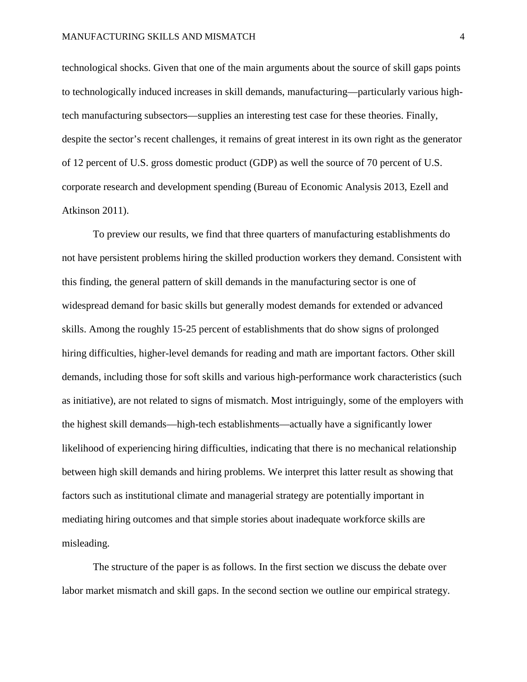technological shocks. Given that one of the main arguments about the source of skill gaps points to technologically induced increases in skill demands, manufacturing—particularly various hightech manufacturing subsectors—supplies an interesting test case for these theories. Finally, despite the sector's recent challenges, it remains of great interest in its own right as the generator of 12 percent of U.S. gross domestic product (GDP) as well the source of 70 percent of U.S. corporate research and development spending (Bureau of Economic Analysis 2013, Ezell and Atkinson 2011).

To preview our results, we find that three quarters of manufacturing establishments do not have persistent problems hiring the skilled production workers they demand. Consistent with this finding, the general pattern of skill demands in the manufacturing sector is one of widespread demand for basic skills but generally modest demands for extended or advanced skills. Among the roughly 15-25 percent of establishments that do show signs of prolonged hiring difficulties, higher-level demands for reading and math are important factors. Other skill demands, including those for soft skills and various high-performance work characteristics (such as initiative), are not related to signs of mismatch. Most intriguingly, some of the employers with the highest skill demands—high-tech establishments—actually have a significantly lower likelihood of experiencing hiring difficulties, indicating that there is no mechanical relationship between high skill demands and hiring problems. We interpret this latter result as showing that factors such as institutional climate and managerial strategy are potentially important in mediating hiring outcomes and that simple stories about inadequate workforce skills are misleading.

The structure of the paper is as follows. In the first section we discuss the debate over labor market mismatch and skill gaps. In the second section we outline our empirical strategy.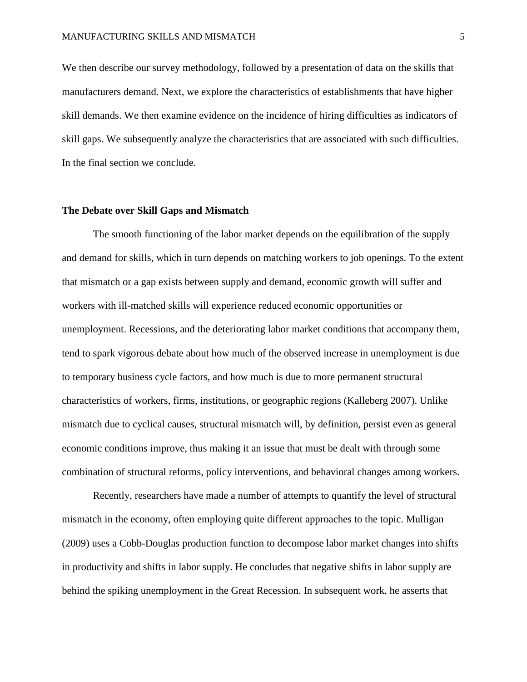We then describe our survey methodology, followed by a presentation of data on the skills that manufacturers demand. Next, we explore the characteristics of establishments that have higher skill demands. We then examine evidence on the incidence of hiring difficulties as indicators of skill gaps. We subsequently analyze the characteristics that are associated with such difficulties. In the final section we conclude.

# **The Debate over Skill Gaps and Mismatch**

The smooth functioning of the labor market depends on the equilibration of the supply and demand for skills, which in turn depends on matching workers to job openings. To the extent that mismatch or a gap exists between supply and demand, economic growth will suffer and workers with ill-matched skills will experience reduced economic opportunities or unemployment. Recessions, and the deteriorating labor market conditions that accompany them, tend to spark vigorous debate about how much of the observed increase in unemployment is due to temporary business cycle factors, and how much is due to more permanent structural characteristics of workers, firms, institutions, or geographic regions (Kalleberg 2007). Unlike mismatch due to cyclical causes, structural mismatch will, by definition, persist even as general economic conditions improve, thus making it an issue that must be dealt with through some combination of structural reforms, policy interventions, and behavioral changes among workers.

Recently, researchers have made a number of attempts to quantify the level of structural mismatch in the economy, often employing quite different approaches to the topic. Mulligan (2009) uses a Cobb-Douglas production function to decompose labor market changes into shifts in productivity and shifts in labor supply. He concludes that negative shifts in labor supply are behind the spiking unemployment in the Great Recession. In subsequent work, he asserts that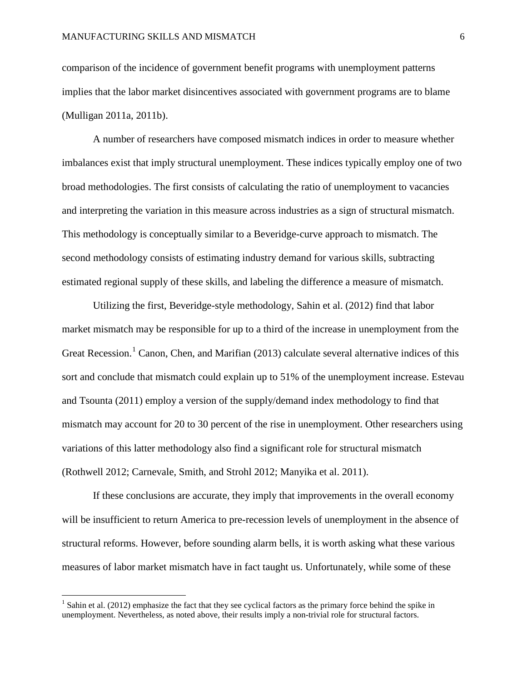comparison of the incidence of government benefit programs with unemployment patterns implies that the labor market disincentives associated with government programs are to blame (Mulligan 2011a, 2011b).

A number of researchers have composed mismatch indices in order to measure whether imbalances exist that imply structural unemployment. These indices typically employ one of two broad methodologies. The first consists of calculating the ratio of unemployment to vacancies and interpreting the variation in this measure across industries as a sign of structural mismatch. This methodology is conceptually similar to a Beveridge-curve approach to mismatch. The second methodology consists of estimating industry demand for various skills, subtracting estimated regional supply of these skills, and labeling the difference a measure of mismatch.

Utilizing the first, Beveridge-style methodology, Sahin et al. (2012) find that labor market mismatch may be responsible for up to a third of the increase in unemployment from the Great Recession.<sup>[1](#page-5-0)</sup> Canon, Chen, and Marifian (2013) calculate several alternative indices of this sort and conclude that mismatch could explain up to 51% of the unemployment increase. Estevau and Tsounta (2011) employ a version of the supply/demand index methodology to find that mismatch may account for 20 to 30 percent of the rise in unemployment. Other researchers using variations of this latter methodology also find a significant role for structural mismatch (Rothwell 2012; Carnevale, Smith, and Strohl 2012; Manyika et al. 2011).

If these conclusions are accurate, they imply that improvements in the overall economy will be insufficient to return America to pre-recession levels of unemployment in the absence of structural reforms. However, before sounding alarm bells, it is worth asking what these various measures of labor market mismatch have in fact taught us. Unfortunately, while some of these

<span id="page-5-0"></span> $1$  Sahin et al. (2012) emphasize the fact that they see cyclical factors as the primary force behind the spike in unemployment. Nevertheless, as noted above, their results imply a non-trivial role for structural factors.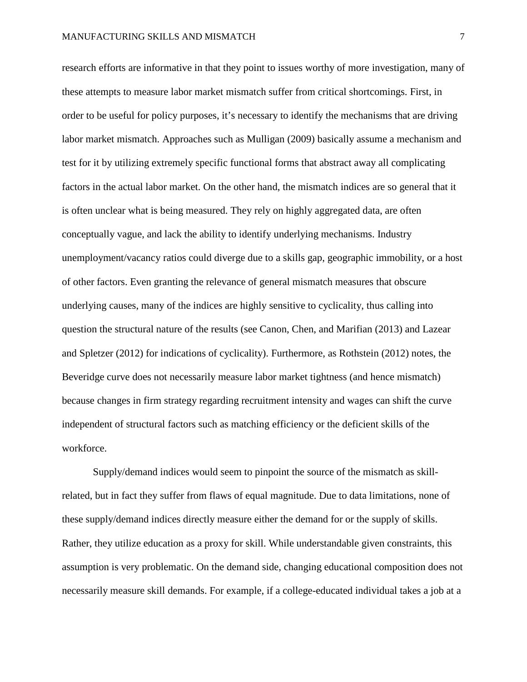research efforts are informative in that they point to issues worthy of more investigation, many of these attempts to measure labor market mismatch suffer from critical shortcomings. First, in order to be useful for policy purposes, it's necessary to identify the mechanisms that are driving labor market mismatch. Approaches such as Mulligan (2009) basically assume a mechanism and test for it by utilizing extremely specific functional forms that abstract away all complicating factors in the actual labor market. On the other hand, the mismatch indices are so general that it is often unclear what is being measured. They rely on highly aggregated data, are often conceptually vague, and lack the ability to identify underlying mechanisms. Industry unemployment/vacancy ratios could diverge due to a skills gap, geographic immobility, or a host of other factors. Even granting the relevance of general mismatch measures that obscure underlying causes, many of the indices are highly sensitive to cyclicality, thus calling into question the structural nature of the results (see Canon, Chen, and Marifian (2013) and Lazear and Spletzer (2012) for indications of cyclicality). Furthermore, as Rothstein (2012) notes, the Beveridge curve does not necessarily measure labor market tightness (and hence mismatch) because changes in firm strategy regarding recruitment intensity and wages can shift the curve independent of structural factors such as matching efficiency or the deficient skills of the workforce.

Supply/demand indices would seem to pinpoint the source of the mismatch as skillrelated, but in fact they suffer from flaws of equal magnitude. Due to data limitations, none of these supply/demand indices directly measure either the demand for or the supply of skills. Rather, they utilize education as a proxy for skill. While understandable given constraints, this assumption is very problematic. On the demand side, changing educational composition does not necessarily measure skill demands. For example, if a college-educated individual takes a job at a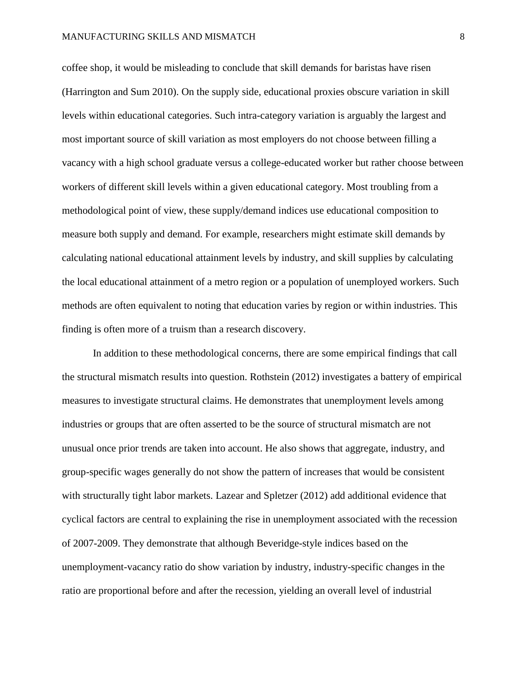coffee shop, it would be misleading to conclude that skill demands for baristas have risen (Harrington and Sum 2010). On the supply side, educational proxies obscure variation in skill levels within educational categories. Such intra-category variation is arguably the largest and most important source of skill variation as most employers do not choose between filling a vacancy with a high school graduate versus a college-educated worker but rather choose between workers of different skill levels within a given educational category. Most troubling from a methodological point of view, these supply/demand indices use educational composition to measure both supply and demand. For example, researchers might estimate skill demands by calculating national educational attainment levels by industry, and skill supplies by calculating the local educational attainment of a metro region or a population of unemployed workers. Such methods are often equivalent to noting that education varies by region or within industries. This finding is often more of a truism than a research discovery.

In addition to these methodological concerns, there are some empirical findings that call the structural mismatch results into question. Rothstein (2012) investigates a battery of empirical measures to investigate structural claims. He demonstrates that unemployment levels among industries or groups that are often asserted to be the source of structural mismatch are not unusual once prior trends are taken into account. He also shows that aggregate, industry, and group-specific wages generally do not show the pattern of increases that would be consistent with structurally tight labor markets. Lazear and Spletzer (2012) add additional evidence that cyclical factors are central to explaining the rise in unemployment associated with the recession of 2007-2009. They demonstrate that although Beveridge-style indices based on the unemployment-vacancy ratio do show variation by industry, industry-specific changes in the ratio are proportional before and after the recession, yielding an overall level of industrial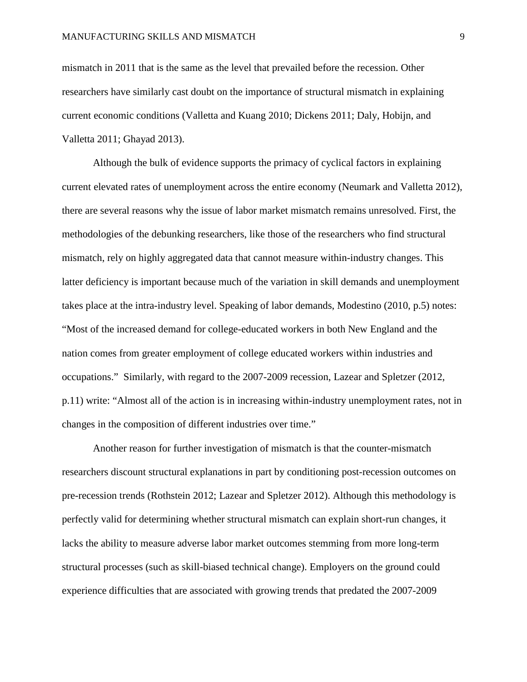mismatch in 2011 that is the same as the level that prevailed before the recession. Other researchers have similarly cast doubt on the importance of structural mismatch in explaining current economic conditions (Valletta and Kuang 2010; Dickens 2011; Daly, Hobijn, and Valletta 2011; Ghayad 2013).

Although the bulk of evidence supports the primacy of cyclical factors in explaining current elevated rates of unemployment across the entire economy (Neumark and Valletta 2012), there are several reasons why the issue of labor market mismatch remains unresolved. First, the methodologies of the debunking researchers, like those of the researchers who find structural mismatch, rely on highly aggregated data that cannot measure within-industry changes. This latter deficiency is important because much of the variation in skill demands and unemployment takes place at the intra-industry level. Speaking of labor demands, Modestino (2010, p.5) notes: "Most of the increased demand for college-educated workers in both New England and the nation comes from greater employment of college educated workers within industries and occupations." Similarly, with regard to the 2007-2009 recession, Lazear and Spletzer (2012, p.11) write: "Almost all of the action is in increasing within-industry unemployment rates, not in changes in the composition of different industries over time."

Another reason for further investigation of mismatch is that the counter-mismatch researchers discount structural explanations in part by conditioning post-recession outcomes on pre-recession trends (Rothstein 2012; Lazear and Spletzer 2012). Although this methodology is perfectly valid for determining whether structural mismatch can explain short-run changes, it lacks the ability to measure adverse labor market outcomes stemming from more long-term structural processes (such as skill-biased technical change). Employers on the ground could experience difficulties that are associated with growing trends that predated the 2007-2009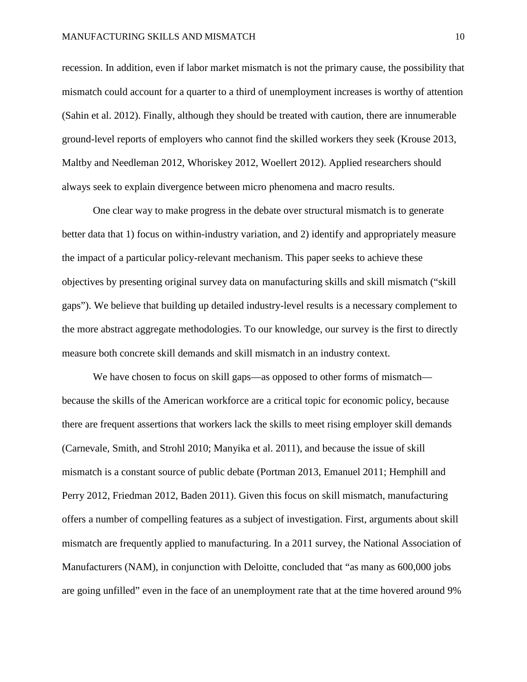recession. In addition, even if labor market mismatch is not the primary cause, the possibility that mismatch could account for a quarter to a third of unemployment increases is worthy of attention (Sahin et al. 2012). Finally, although they should be treated with caution, there are innumerable ground-level reports of employers who cannot find the skilled workers they seek (Krouse 2013, Maltby and Needleman 2012, Whoriskey 2012, Woellert 2012). Applied researchers should always seek to explain divergence between micro phenomena and macro results.

One clear way to make progress in the debate over structural mismatch is to generate better data that 1) focus on within-industry variation, and 2) identify and appropriately measure the impact of a particular policy-relevant mechanism. This paper seeks to achieve these objectives by presenting original survey data on manufacturing skills and skill mismatch ("skill gaps"). We believe that building up detailed industry-level results is a necessary complement to the more abstract aggregate methodologies. To our knowledge, our survey is the first to directly measure both concrete skill demands and skill mismatch in an industry context.

We have chosen to focus on skill gaps—as opposed to other forms of mismatch because the skills of the American workforce are a critical topic for economic policy, because there are frequent assertions that workers lack the skills to meet rising employer skill demands (Carnevale, Smith, and Strohl 2010; Manyika et al. 2011), and because the issue of skill mismatch is a constant source of public debate (Portman 2013, Emanuel 2011; Hemphill and Perry 2012, Friedman 2012, Baden 2011). Given this focus on skill mismatch, manufacturing offers a number of compelling features as a subject of investigation. First, arguments about skill mismatch are frequently applied to manufacturing. In a 2011 survey, the National Association of Manufacturers (NAM), in conjunction with Deloitte, concluded that "as many as 600,000 jobs are going unfilled" even in the face of an unemployment rate that at the time hovered around 9%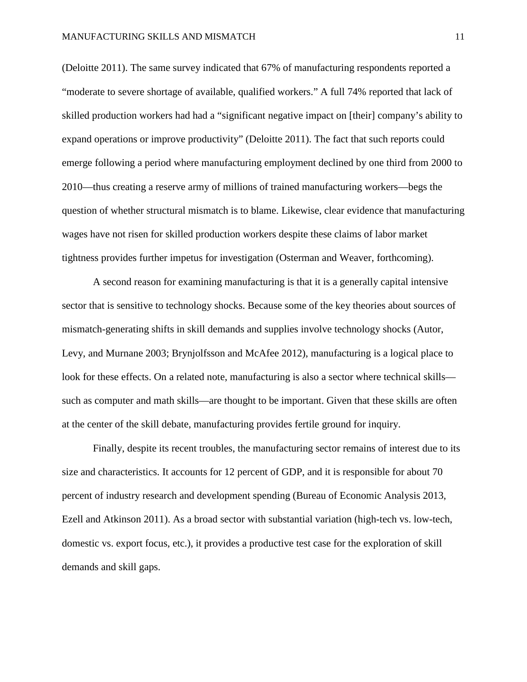(Deloitte 2011). The same survey indicated that 67% of manufacturing respondents reported a "moderate to severe shortage of available, qualified workers." A full 74% reported that lack of skilled production workers had had a "significant negative impact on [their] company's ability to expand operations or improve productivity" (Deloitte 2011). The fact that such reports could emerge following a period where manufacturing employment declined by one third from 2000 to 2010—thus creating a reserve army of millions of trained manufacturing workers—begs the question of whether structural mismatch is to blame. Likewise, clear evidence that manufacturing wages have not risen for skilled production workers despite these claims of labor market tightness provides further impetus for investigation (Osterman and Weaver, forthcoming).

A second reason for examining manufacturing is that it is a generally capital intensive sector that is sensitive to technology shocks. Because some of the key theories about sources of mismatch-generating shifts in skill demands and supplies involve technology shocks (Autor, Levy, and Murnane 2003; Brynjolfsson and McAfee 2012), manufacturing is a logical place to look for these effects. On a related note, manufacturing is also a sector where technical skills such as computer and math skills—are thought to be important. Given that these skills are often at the center of the skill debate, manufacturing provides fertile ground for inquiry.

Finally, despite its recent troubles, the manufacturing sector remains of interest due to its size and characteristics. It accounts for 12 percent of GDP, and it is responsible for about 70 percent of industry research and development spending (Bureau of Economic Analysis 2013, Ezell and Atkinson 2011). As a broad sector with substantial variation (high-tech vs. low-tech, domestic vs. export focus, etc.), it provides a productive test case for the exploration of skill demands and skill gaps.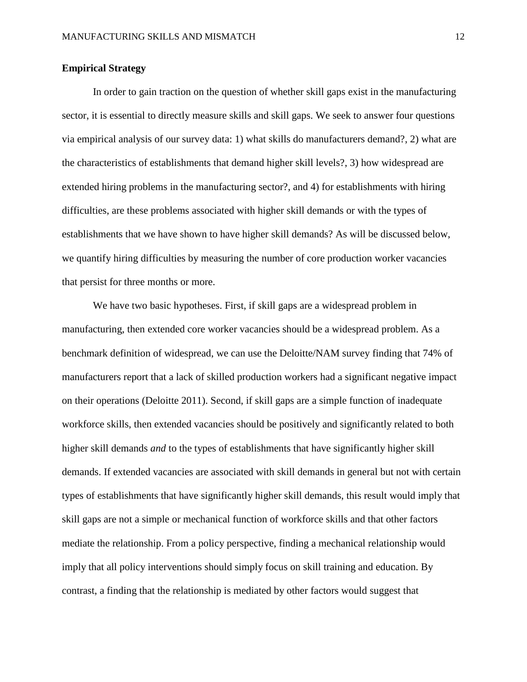# **Empirical Strategy**

In order to gain traction on the question of whether skill gaps exist in the manufacturing sector, it is essential to directly measure skills and skill gaps. We seek to answer four questions via empirical analysis of our survey data: 1) what skills do manufacturers demand?, 2) what are the characteristics of establishments that demand higher skill levels?, 3) how widespread are extended hiring problems in the manufacturing sector?, and 4) for establishments with hiring difficulties, are these problems associated with higher skill demands or with the types of establishments that we have shown to have higher skill demands? As will be discussed below, we quantify hiring difficulties by measuring the number of core production worker vacancies that persist for three months or more.

We have two basic hypotheses. First, if skill gaps are a widespread problem in manufacturing, then extended core worker vacancies should be a widespread problem. As a benchmark definition of widespread, we can use the Deloitte/NAM survey finding that 74% of manufacturers report that a lack of skilled production workers had a significant negative impact on their operations (Deloitte 2011). Second, if skill gaps are a simple function of inadequate workforce skills, then extended vacancies should be positively and significantly related to both higher skill demands *and* to the types of establishments that have significantly higher skill demands. If extended vacancies are associated with skill demands in general but not with certain types of establishments that have significantly higher skill demands, this result would imply that skill gaps are not a simple or mechanical function of workforce skills and that other factors mediate the relationship. From a policy perspective, finding a mechanical relationship would imply that all policy interventions should simply focus on skill training and education. By contrast, a finding that the relationship is mediated by other factors would suggest that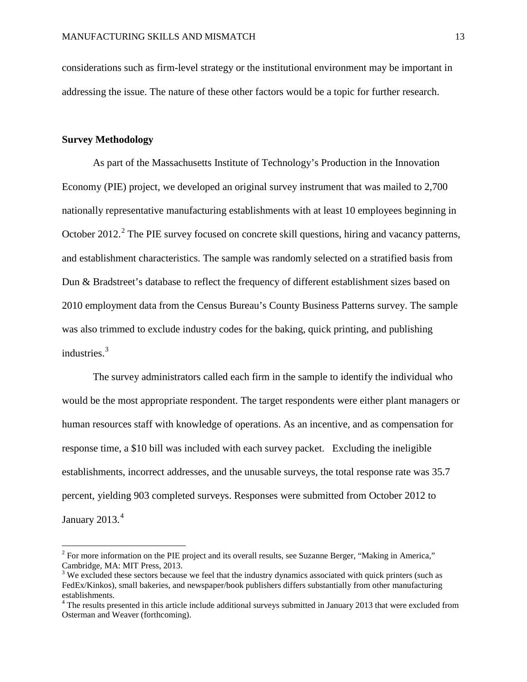considerations such as firm-level strategy or the institutional environment may be important in addressing the issue. The nature of these other factors would be a topic for further research.

# **Survey Methodology**

As part of the Massachusetts Institute of Technology's Production in the Innovation Economy (PIE) project, we developed an original survey instrument that was mailed to 2,700 nationally representative manufacturing establishments with at least 10 employees beginning in October [2](#page-12-0)012.<sup>2</sup> The PIE survey focused on concrete skill questions, hiring and vacancy patterns, and establishment characteristics. The sample was randomly selected on a stratified basis from Dun & Bradstreet's database to reflect the frequency of different establishment sizes based on 2010 employment data from the Census Bureau's County Business Patterns survey. The sample was also trimmed to exclude industry codes for the baking, quick printing, and publishing industries.<sup>[3](#page-12-1)</sup>

The survey administrators called each firm in the sample to identify the individual who would be the most appropriate respondent. The target respondents were either plant managers or human resources staff with knowledge of operations. As an incentive, and as compensation for response time, a \$10 bill was included with each survey packet. Excluding the ineligible establishments, incorrect addresses, and the unusable surveys, the total response rate was 35.7 percent, yielding 903 completed surveys. Responses were submitted from October 2012 to January 2013.<sup>[4](#page-12-2)</sup>

<span id="page-12-0"></span><sup>&</sup>lt;sup>2</sup> For more information on the PIE project and its overall results, see Suzanne Berger, "Making in America," Cambridge, MA: MIT Press, 2013.

<span id="page-12-1"></span> $3$  We excluded these sectors because we feel that the industry dynamics associated with quick printers (such as FedEx/Kinkos), small bakeries, and newspaper/book publishers differs substantially from other manufacturing establishments.

<span id="page-12-2"></span> $4$  The results presented in this article include additional surveys submitted in January 2013 that were excluded from Osterman and Weaver (forthcoming).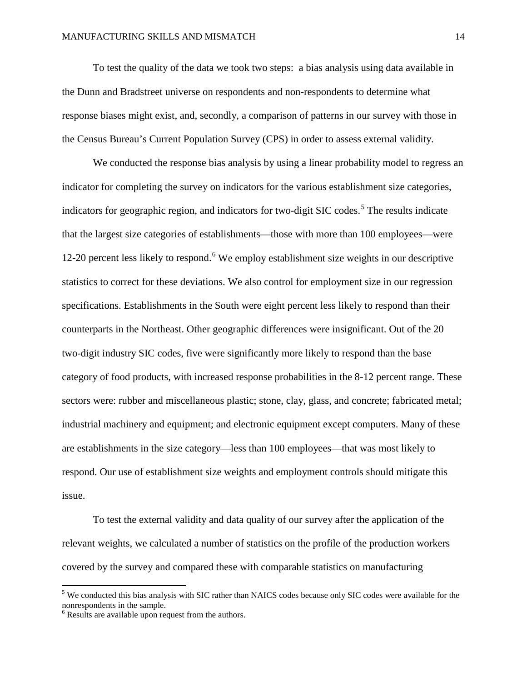To test the quality of the data we took two steps: a bias analysis using data available in the Dunn and Bradstreet universe on respondents and non-respondents to determine what response biases might exist, and, secondly, a comparison of patterns in our survey with those in the Census Bureau's Current Population Survey (CPS) in order to assess external validity.

We conducted the response bias analysis by using a linear probability model to regress an indicator for completing the survey on indicators for the various establishment size categories, indicators for geographic region, and indicators for two-digit SIC codes. [5](#page-13-0) The results indicate that the largest size categories of establishments—those with more than 100 employees—were 12-20 percent less likely to respond.<sup>[6](#page-13-1)</sup> We employ establishment size weights in our descriptive statistics to correct for these deviations. We also control for employment size in our regression specifications. Establishments in the South were eight percent less likely to respond than their counterparts in the Northeast. Other geographic differences were insignificant. Out of the 20 two-digit industry SIC codes, five were significantly more likely to respond than the base category of food products, with increased response probabilities in the 8-12 percent range. These sectors were: rubber and miscellaneous plastic; stone, clay, glass, and concrete; fabricated metal; industrial machinery and equipment; and electronic equipment except computers. Many of these are establishments in the size category—less than 100 employees—that was most likely to respond. Our use of establishment size weights and employment controls should mitigate this issue.

To test the external validity and data quality of our survey after the application of the relevant weights, we calculated a number of statistics on the profile of the production workers covered by the survey and compared these with comparable statistics on manufacturing

<span id="page-13-0"></span><sup>&</sup>lt;sup>5</sup> We conducted this bias analysis with SIC rather than NAICS codes because only SIC codes were available for the nonrespondents in the sample.

<span id="page-13-1"></span><sup>&</sup>lt;sup>6</sup> Results are available upon request from the authors.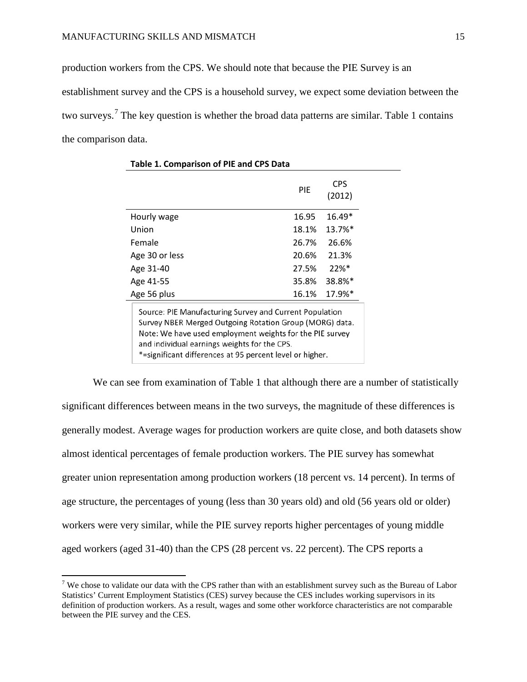production workers from the CPS. We should note that because the PIE Survey is an establishment survey and the CPS is a household survey, we expect some deviation between the two surveys.<sup>[7](#page-14-0)</sup> The key question is whether the broad data patterns are similar. Table 1 contains the comparison data.

|                                                                                                                                                                                                                                                                                            | PIE   | <b>CPS</b><br>(2012) |  |  |  |
|--------------------------------------------------------------------------------------------------------------------------------------------------------------------------------------------------------------------------------------------------------------------------------------------|-------|----------------------|--|--|--|
| Hourly wage                                                                                                                                                                                                                                                                                | 16.95 | $16.49*$             |  |  |  |
| Union                                                                                                                                                                                                                                                                                      | 18.1% | 13.7%*               |  |  |  |
| Female                                                                                                                                                                                                                                                                                     | 26.7% | 26.6%                |  |  |  |
| Age 30 or less                                                                                                                                                                                                                                                                             | 20.6% | 21.3%                |  |  |  |
| Age 31-40                                                                                                                                                                                                                                                                                  | 27.5% | $22%$ *              |  |  |  |
| Age 41-55                                                                                                                                                                                                                                                                                  | 35.8% | 38.8%*               |  |  |  |
| Age 56 plus                                                                                                                                                                                                                                                                                | 16.1% | 17.9%*               |  |  |  |
| Source: PIE Manufacturing Survey and Current Population<br>Survey NBER Merged Outgoing Rotation Group (MORG) data.<br>Note: We have used employment weights for the PIE survey<br>and individual earnings weights for the CPS.<br>*=significant differences at 95 percent level or higher. |       |                      |  |  |  |

**Table 1. Comparison of PIE and CPS Data**

We can see from examination of Table 1 that although there are a number of statistically significant differences between means in the two surveys, the magnitude of these differences is generally modest. Average wages for production workers are quite close, and both datasets show almost identical percentages of female production workers. The PIE survey has somewhat greater union representation among production workers (18 percent vs. 14 percent). In terms of age structure, the percentages of young (less than 30 years old) and old (56 years old or older) workers were very similar, while the PIE survey reports higher percentages of young middle aged workers (aged 31-40) than the CPS (28 percent vs. 22 percent). The CPS reports a

<span id="page-14-0"></span><sup>&</sup>lt;sup>7</sup> We chose to validate our data with the CPS rather than with an establishment survey such as the Bureau of Labor Statistics' Current Employment Statistics (CES) survey because the CES includes working supervisors in its definition of production workers. As a result, wages and some other workforce characteristics are not comparable between the PIE survey and the CES.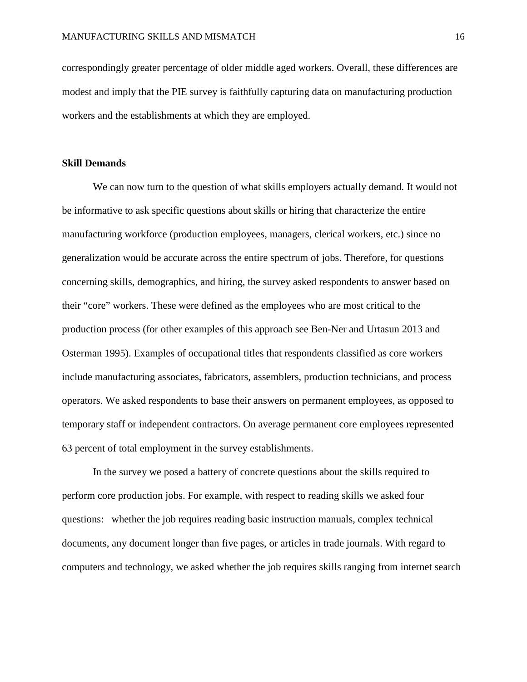correspondingly greater percentage of older middle aged workers. Overall, these differences are modest and imply that the PIE survey is faithfully capturing data on manufacturing production workers and the establishments at which they are employed.

# **Skill Demands**

We can now turn to the question of what skills employers actually demand. It would not be informative to ask specific questions about skills or hiring that characterize the entire manufacturing workforce (production employees, managers, clerical workers, etc.) since no generalization would be accurate across the entire spectrum of jobs. Therefore, for questions concerning skills, demographics, and hiring, the survey asked respondents to answer based on their "core" workers. These were defined as the employees who are most critical to the production process (for other examples of this approach see Ben-Ner and Urtasun 2013 and Osterman 1995). Examples of occupational titles that respondents classified as core workers include manufacturing associates, fabricators, assemblers, production technicians, and process operators. We asked respondents to base their answers on permanent employees, as opposed to temporary staff or independent contractors. On average permanent core employees represented 63 percent of total employment in the survey establishments.

In the survey we posed a battery of concrete questions about the skills required to perform core production jobs. For example, with respect to reading skills we asked four questions: whether the job requires reading basic instruction manuals, complex technical documents, any document longer than five pages, or articles in trade journals. With regard to computers and technology, we asked whether the job requires skills ranging from internet search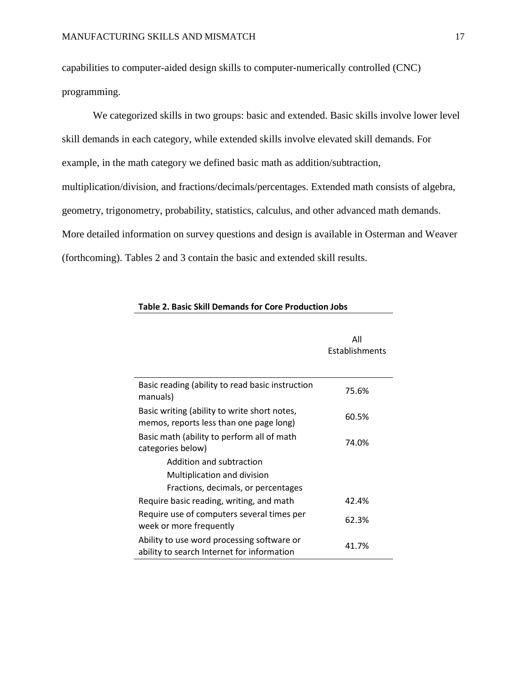capabilities to computer-aided design skills to computer-numerically controlled (CNC) programming.

We categorized skills in two groups: basic and extended. Basic skills involve lower level skill demands in each category, while extended skills involve elevated skill demands. For example, in the math category we defined basic math as addition/subtraction, multiplication/division, and fractions/decimals/percentages. Extended math consists of algebra, geometry, trigonometry, probability, statistics, calculus, and other advanced math demands. More detailed information on survey questions and design is available in Osterman and Weaver (forthcoming). Tables 2 and 3 contain the basic and extended skill results.

|                                                                                          | All<br>Establishments |
|------------------------------------------------------------------------------------------|-----------------------|
| Basic reading (ability to read basic instruction<br>manuals)                             | 75.6%                 |
| Basic writing (ability to write short notes,<br>memos, reports less than one page long)  | 60.5%                 |
| Basic math (ability to perform all of math<br>categories below)                          | 74.0%                 |
| Addition and subtraction                                                                 |                       |
| Multiplication and division                                                              |                       |
| Fractions, decimals, or percentages                                                      |                       |
| Require basic reading, writing, and math                                                 | 42.4%                 |
| Require use of computers several times per<br>week or more frequently                    | 62.3%                 |
| Ability to use word processing software or<br>ability to search Internet for information | 41.7%                 |

# **Table 2. Basic Skill Demands for Core Production Jobs**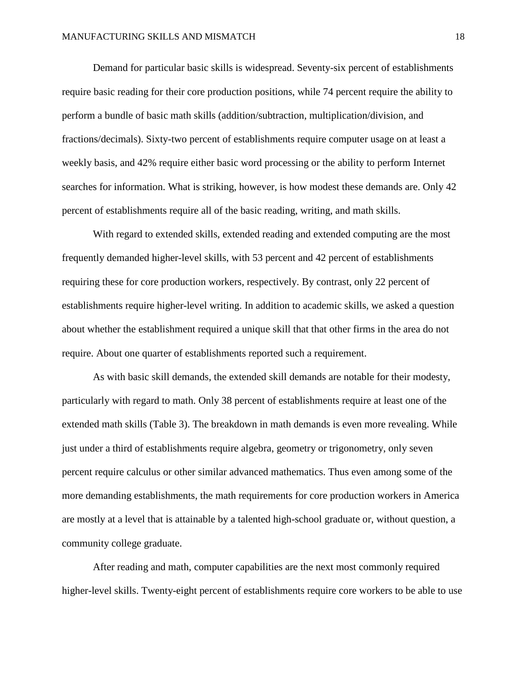Demand for particular basic skills is widespread. Seventy-six percent of establishments require basic reading for their core production positions, while 74 percent require the ability to perform a bundle of basic math skills (addition/subtraction, multiplication/division, and fractions/decimals). Sixty-two percent of establishments require computer usage on at least a weekly basis, and 42% require either basic word processing or the ability to perform Internet searches for information. What is striking, however, is how modest these demands are. Only 42 percent of establishments require all of the basic reading, writing, and math skills.

With regard to extended skills, extended reading and extended computing are the most frequently demanded higher-level skills, with 53 percent and 42 percent of establishments requiring these for core production workers, respectively. By contrast, only 22 percent of establishments require higher-level writing. In addition to academic skills, we asked a question about whether the establishment required a unique skill that that other firms in the area do not require. About one quarter of establishments reported such a requirement.

As with basic skill demands, the extended skill demands are notable for their modesty, particularly with regard to math. Only 38 percent of establishments require at least one of the extended math skills (Table 3). The breakdown in math demands is even more revealing. While just under a third of establishments require algebra, geometry or trigonometry, only seven percent require calculus or other similar advanced mathematics. Thus even among some of the more demanding establishments, the math requirements for core production workers in America are mostly at a level that is attainable by a talented high-school graduate or, without question, a community college graduate.

After reading and math, computer capabilities are the next most commonly required higher-level skills. Twenty-eight percent of establishments require core workers to be able to use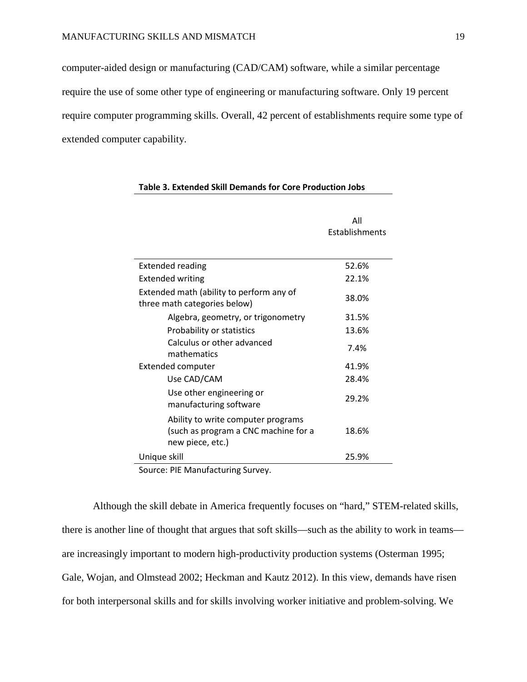computer-aided design or manufacturing (CAD/CAM) software, while a similar percentage require the use of some other type of engineering or manufacturing software. Only 19 percent require computer programming skills. Overall, 42 percent of establishments require some type of extended computer capability.

|                                                                                                | All<br>Establishments |
|------------------------------------------------------------------------------------------------|-----------------------|
| <b>Extended reading</b>                                                                        | 52.6%                 |
| <b>Extended writing</b>                                                                        | 22.1%                 |
| Extended math (ability to perform any of<br>three math categories below)                       | 38.0%                 |
| Algebra, geometry, or trigonometry                                                             | 31.5%                 |
| Probability or statistics                                                                      | 13.6%                 |
| Calculus or other advanced<br>mathematics                                                      | 7.4%                  |
| <b>Extended computer</b>                                                                       | 41.9%                 |
| Use CAD/CAM                                                                                    | 28.4%                 |
| Use other engineering or<br>manufacturing software                                             | 29.2%                 |
| Ability to write computer programs<br>(such as program a CNC machine for a<br>new piece, etc.) | 18.6%                 |
| Unique skill                                                                                   | 25.9%                 |

#### **Table 3. Extended Skill Demands for Core Production Jobs**

Source: PIE Manufacturing Survey.

Although the skill debate in America frequently focuses on "hard," STEM-related skills, there is another line of thought that argues that soft skills—such as the ability to work in teams are increasingly important to modern high-productivity production systems (Osterman 1995; Gale, Wojan, and Olmstead 2002; Heckman and Kautz 2012). In this view, demands have risen for both interpersonal skills and for skills involving worker initiative and problem-solving. We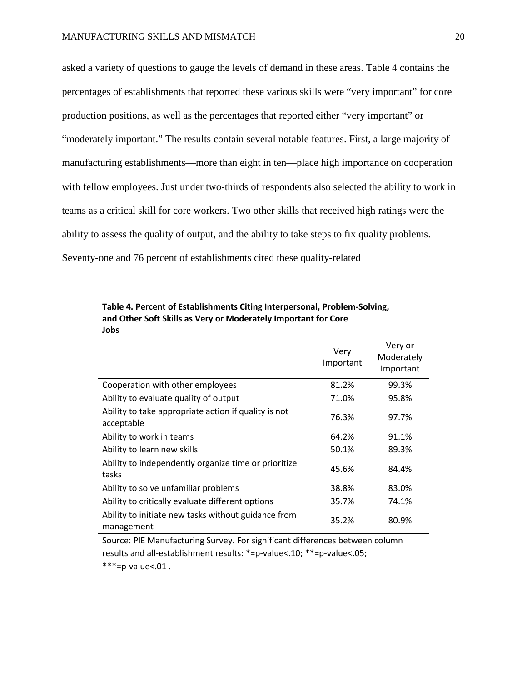asked a variety of questions to gauge the levels of demand in these areas. Table 4 contains the percentages of establishments that reported these various skills were "very important" for core production positions, as well as the percentages that reported either "very important" or "moderately important." The results contain several notable features. First, a large majority of manufacturing establishments—more than eight in ten—place high importance on cooperation with fellow employees. Just under two-thirds of respondents also selected the ability to work in teams as a critical skill for core workers. Two other skills that received high ratings were the ability to assess the quality of output, and the ability to take steps to fix quality problems. Seventy-one and 76 percent of establishments cited these quality-related

|                                                                    | Very<br>Important | Very or<br>Moderately<br>Important |
|--------------------------------------------------------------------|-------------------|------------------------------------|
| Cooperation with other employees                                   | 81.2%             | 99.3%                              |
| Ability to evaluate quality of output                              | 71.0%             | 95.8%                              |
| Ability to take appropriate action if quality is not<br>acceptable | 76.3%             | 97.7%                              |
| Ability to work in teams                                           | 64.2%             | 91.1%                              |
| Ability to learn new skills                                        | 50.1%             | 89.3%                              |
| Ability to independently organize time or prioritize<br>tasks      | 45.6%             | 84.4%                              |
| Ability to solve unfamiliar problems                               | 38.8%             | 83.0%                              |
| Ability to critically evaluate different options                   | 35.7%             | 74.1%                              |
| Ability to initiate new tasks without guidance from<br>management  | 35.2%             | 80.9%                              |

**Table 4. Percent of Establishments Citing Interpersonal, Problem-Solving, and Other Soft Skills as Very or Moderately Important for Core Jobs**

Source: PIE Manufacturing Survey. For significant differences between column results and all-establishment results: \*=p-value<.10; \*\*=p-value<.05;  $***=p-value<.01$ .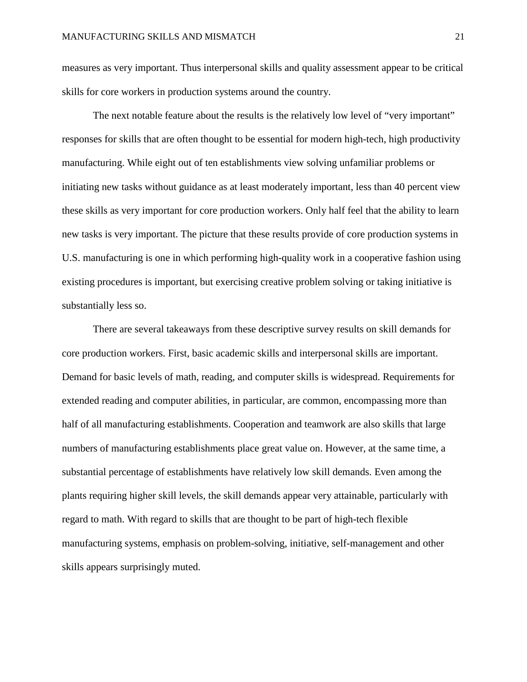measures as very important. Thus interpersonal skills and quality assessment appear to be critical skills for core workers in production systems around the country.

The next notable feature about the results is the relatively low level of "very important" responses for skills that are often thought to be essential for modern high-tech, high productivity manufacturing. While eight out of ten establishments view solving unfamiliar problems or initiating new tasks without guidance as at least moderately important, less than 40 percent view these skills as very important for core production workers. Only half feel that the ability to learn new tasks is very important. The picture that these results provide of core production systems in U.S. manufacturing is one in which performing high-quality work in a cooperative fashion using existing procedures is important, but exercising creative problem solving or taking initiative is substantially less so.

There are several takeaways from these descriptive survey results on skill demands for core production workers. First, basic academic skills and interpersonal skills are important. Demand for basic levels of math, reading, and computer skills is widespread. Requirements for extended reading and computer abilities, in particular, are common, encompassing more than half of all manufacturing establishments. Cooperation and teamwork are also skills that large numbers of manufacturing establishments place great value on. However, at the same time, a substantial percentage of establishments have relatively low skill demands. Even among the plants requiring higher skill levels, the skill demands appear very attainable, particularly with regard to math. With regard to skills that are thought to be part of high-tech flexible manufacturing systems, emphasis on problem-solving, initiative, self-management and other skills appears surprisingly muted.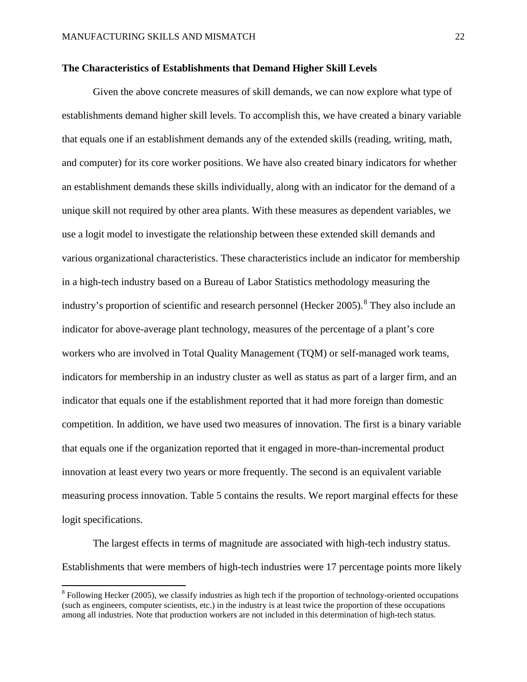# **The Characteristics of Establishments that Demand Higher Skill Levels**

Given the above concrete measures of skill demands, we can now explore what type of establishments demand higher skill levels. To accomplish this, we have created a binary variable that equals one if an establishment demands any of the extended skills (reading, writing, math, and computer) for its core worker positions. We have also created binary indicators for whether an establishment demands these skills individually, along with an indicator for the demand of a unique skill not required by other area plants. With these measures as dependent variables, we use a logit model to investigate the relationship between these extended skill demands and various organizational characteristics. These characteristics include an indicator for membership in a high-tech industry based on a Bureau of Labor Statistics methodology measuring the industry's proportion of scientific and research personnel (Hecker 2005).<sup>[8](#page-21-0)</sup> They also include an indicator for above-average plant technology, measures of the percentage of a plant's core workers who are involved in Total Quality Management (TQM) or self-managed work teams, indicators for membership in an industry cluster as well as status as part of a larger firm, and an indicator that equals one if the establishment reported that it had more foreign than domestic competition. In addition, we have used two measures of innovation. The first is a binary variable that equals one if the organization reported that it engaged in more-than-incremental product innovation at least every two years or more frequently. The second is an equivalent variable measuring process innovation. Table 5 contains the results. We report marginal effects for these logit specifications.

The largest effects in terms of magnitude are associated with high-tech industry status. Establishments that were members of high-tech industries were 17 percentage points more likely

<span id="page-21-0"></span><sup>&</sup>lt;sup>8</sup> Following Hecker (2005), we classify industries as high tech if the proportion of technology-oriented occupations (such as engineers, computer scientists, etc.) in the industry is at least twice the proportion of these occupations among all industries. Note that production workers are not included in this determination of high-tech status.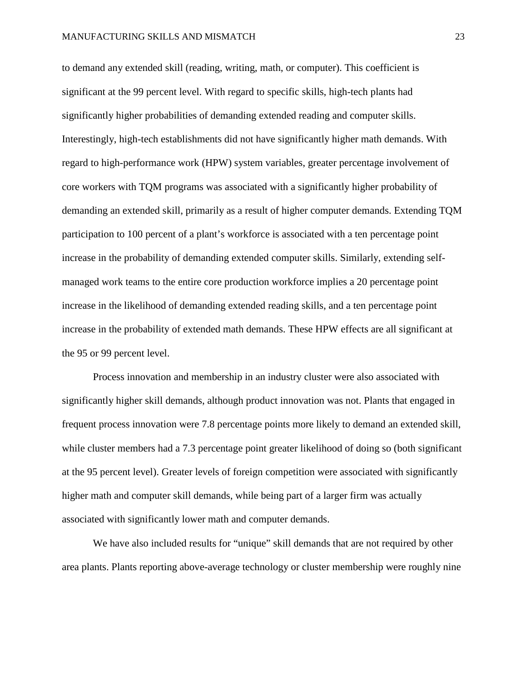to demand any extended skill (reading, writing, math, or computer). This coefficient is significant at the 99 percent level. With regard to specific skills, high-tech plants had significantly higher probabilities of demanding extended reading and computer skills. Interestingly, high-tech establishments did not have significantly higher math demands. With regard to high-performance work (HPW) system variables, greater percentage involvement of core workers with TQM programs was associated with a significantly higher probability of demanding an extended skill, primarily as a result of higher computer demands. Extending TQM participation to 100 percent of a plant's workforce is associated with a ten percentage point increase in the probability of demanding extended computer skills. Similarly, extending selfmanaged work teams to the entire core production workforce implies a 20 percentage point increase in the likelihood of demanding extended reading skills, and a ten percentage point increase in the probability of extended math demands. These HPW effects are all significant at the 95 or 99 percent level.

Process innovation and membership in an industry cluster were also associated with significantly higher skill demands, although product innovation was not. Plants that engaged in frequent process innovation were 7.8 percentage points more likely to demand an extended skill, while cluster members had a 7.3 percentage point greater likelihood of doing so (both significant at the 95 percent level). Greater levels of foreign competition were associated with significantly higher math and computer skill demands, while being part of a larger firm was actually associated with significantly lower math and computer demands.

We have also included results for "unique" skill demands that are not required by other area plants. Plants reporting above-average technology or cluster membership were roughly nine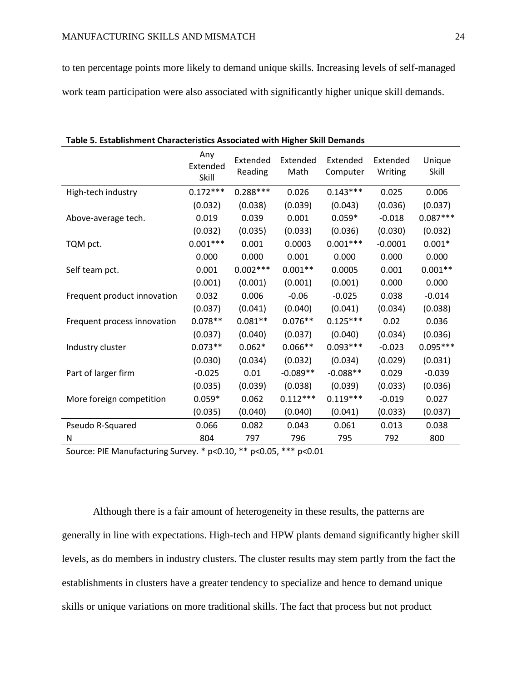to ten percentage points more likely to demand unique skills. Increasing levels of self-managed work team participation were also associated with significantly higher unique skill demands.

|                             | Any<br>Extended<br>Skill | Extended<br>Reading | Extended<br>Math | Extended<br>Computer | Extended<br>Writing | Unique<br>Skill |
|-----------------------------|--------------------------|---------------------|------------------|----------------------|---------------------|-----------------|
| High-tech industry          | $0.172***$               | $0.288***$          | 0.026            | $0.143***$           | 0.025               | 0.006           |
|                             | (0.032)                  | (0.038)             | (0.039)          | (0.043)              | (0.036)             | (0.037)         |
| Above-average tech.         | 0.019                    | 0.039               | 0.001            | $0.059*$             | $-0.018$            | $0.087***$      |
|                             | (0.032)                  | (0.035)             | (0.033)          | (0.036)              | (0.030)             | (0.032)         |
| TQM pct.                    | $0.001***$               | 0.001               | 0.0003           | $0.001***$           | $-0.0001$           | $0.001*$        |
|                             | 0.000                    | 0.000               | 0.001            | 0.000                | 0.000               | 0.000           |
| Self team pct.              | 0.001                    | $0.002***$          | $0.001**$        | 0.0005               | 0.001               | $0.001**$       |
|                             | (0.001)                  | (0.001)             | (0.001)          | (0.001)              | 0.000               | 0.000           |
| Frequent product innovation | 0.032                    | 0.006               | $-0.06$          | $-0.025$             | 0.038               | $-0.014$        |
|                             | (0.037)                  | (0.041)             | (0.040)          | (0.041)              | (0.034)             | (0.038)         |
| Frequent process innovation | $0.078**$                | $0.081**$           | $0.076**$        | $0.125***$           | 0.02                | 0.036           |
|                             | (0.037)                  | (0.040)             | (0.037)          | (0.040)              | (0.034)             | (0.036)         |
| Industry cluster            | $0.073**$                | $0.062*$            | $0.066**$        | $0.093***$           | $-0.023$            | $0.095***$      |
|                             | (0.030)                  | (0.034)             | (0.032)          | (0.034)              | (0.029)             | (0.031)         |
| Part of larger firm         | $-0.025$                 | 0.01                | $-0.089**$       | $-0.088**$           | 0.029               | $-0.039$        |
|                             | (0.035)                  | (0.039)             | (0.038)          | (0.039)              | (0.033)             | (0.036)         |
| More foreign competition    | $0.059*$                 | 0.062               | $0.112***$       | $0.119***$           | $-0.019$            | 0.027           |
|                             | (0.035)                  | (0.040)             | (0.040)          | (0.041)              | (0.033)             | (0.037)         |
| Pseudo R-Squared            | 0.066                    | 0.082               | 0.043            | 0.061                | 0.013               | 0.038           |
| N                           | 804                      | 797                 | 796              | 795                  | 792                 | 800             |

**Table 5. Establishment Characteristics Associated with Higher Skill Demands**

Source: PIE Manufacturing Survey. \* p<0.10, \*\* p<0.05, \*\*\* p<0.01

Although there is a fair amount of heterogeneity in these results, the patterns are generally in line with expectations. High-tech and HPW plants demand significantly higher skill levels, as do members in industry clusters. The cluster results may stem partly from the fact the establishments in clusters have a greater tendency to specialize and hence to demand unique skills or unique variations on more traditional skills. The fact that process but not product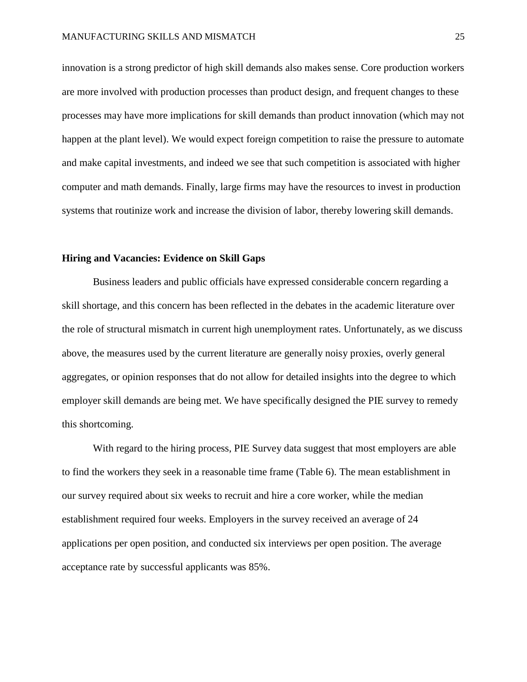innovation is a strong predictor of high skill demands also makes sense. Core production workers are more involved with production processes than product design, and frequent changes to these processes may have more implications for skill demands than product innovation (which may not happen at the plant level). We would expect foreign competition to raise the pressure to automate and make capital investments, and indeed we see that such competition is associated with higher computer and math demands. Finally, large firms may have the resources to invest in production systems that routinize work and increase the division of labor, thereby lowering skill demands.

# **Hiring and Vacancies: Evidence on Skill Gaps**

Business leaders and public officials have expressed considerable concern regarding a skill shortage, and this concern has been reflected in the debates in the academic literature over the role of structural mismatch in current high unemployment rates. Unfortunately, as we discuss above, the measures used by the current literature are generally noisy proxies, overly general aggregates, or opinion responses that do not allow for detailed insights into the degree to which employer skill demands are being met. We have specifically designed the PIE survey to remedy this shortcoming.

With regard to the hiring process, PIE Survey data suggest that most employers are able to find the workers they seek in a reasonable time frame (Table 6). The mean establishment in our survey required about six weeks to recruit and hire a core worker, while the median establishment required four weeks. Employers in the survey received an average of 24 applications per open position, and conducted six interviews per open position. The average acceptance rate by successful applicants was 85%.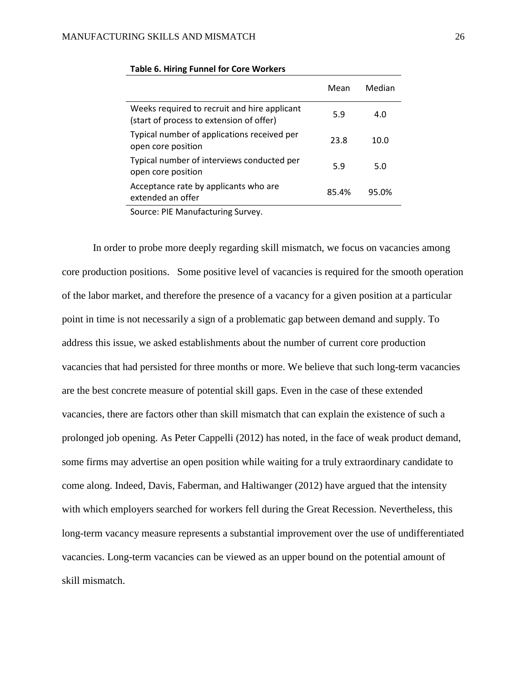|                                                                                          | Mean  | Median |
|------------------------------------------------------------------------------------------|-------|--------|
| Weeks required to recruit and hire applicant<br>(start of process to extension of offer) | 5.9   | 4.0    |
| Typical number of applications received per<br>open core position                        | 23.8  | 10.0   |
| Typical number of interviews conducted per<br>open core position                         | 5.9   | 5.0    |
| Acceptance rate by applicants who are<br>extended an offer                               | 85.4% | 95.0%  |

# **Table 6. Hiring Funnel for Core Workers**

Source: PIE Manufacturing Survey.

In order to probe more deeply regarding skill mismatch, we focus on vacancies among core production positions. Some positive level of vacancies is required for the smooth operation of the labor market, and therefore the presence of a vacancy for a given position at a particular point in time is not necessarily a sign of a problematic gap between demand and supply. To address this issue, we asked establishments about the number of current core production vacancies that had persisted for three months or more. We believe that such long-term vacancies are the best concrete measure of potential skill gaps. Even in the case of these extended vacancies, there are factors other than skill mismatch that can explain the existence of such a prolonged job opening. As Peter Cappelli (2012) has noted, in the face of weak product demand, some firms may advertise an open position while waiting for a truly extraordinary candidate to come along. Indeed, Davis, Faberman, and Haltiwanger (2012) have argued that the intensity with which employers searched for workers fell during the Great Recession. Nevertheless, this long-term vacancy measure represents a substantial improvement over the use of undifferentiated vacancies. Long-term vacancies can be viewed as an upper bound on the potential amount of skill mismatch.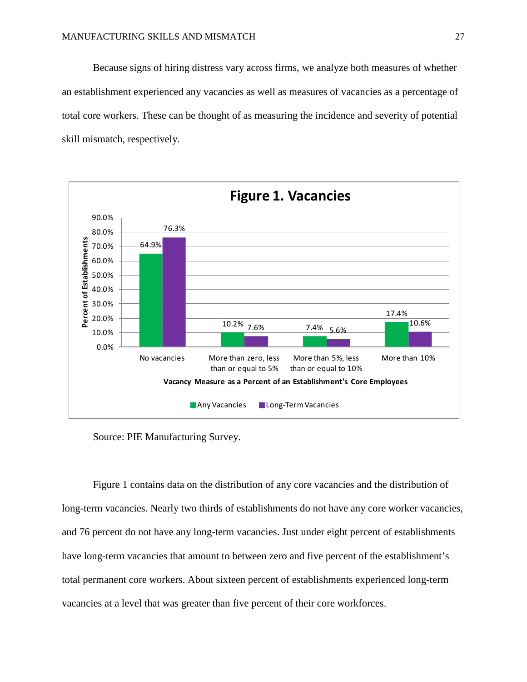Because signs of hiring distress vary across firms, we analyze both measures of whether an establishment experienced any vacancies as well as measures of vacancies as a percentage of total core workers. These can be thought of as measuring the incidence and severity of potential skill mismatch, respectively.



Source: PIE Manufacturing Survey.

Figure 1 contains data on the distribution of any core vacancies and the distribution of long-term vacancies. Nearly two thirds of establishments do not have any core worker vacancies, and 76 percent do not have any long-term vacancies. Just under eight percent of establishments have long-term vacancies that amount to between zero and five percent of the establishment's total permanent core workers. About sixteen percent of establishments experienced long-term vacancies at a level that was greater than five percent of their core workforces.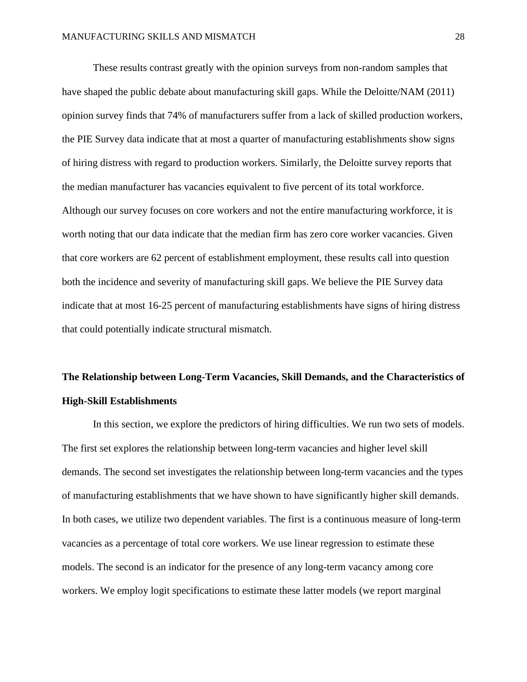These results contrast greatly with the opinion surveys from non-random samples that have shaped the public debate about manufacturing skill gaps. While the Deloitte/NAM (2011) opinion survey finds that 74% of manufacturers suffer from a lack of skilled production workers, the PIE Survey data indicate that at most a quarter of manufacturing establishments show signs of hiring distress with regard to production workers. Similarly, the Deloitte survey reports that the median manufacturer has vacancies equivalent to five percent of its total workforce. Although our survey focuses on core workers and not the entire manufacturing workforce, it is worth noting that our data indicate that the median firm has zero core worker vacancies. Given that core workers are 62 percent of establishment employment, these results call into question both the incidence and severity of manufacturing skill gaps. We believe the PIE Survey data indicate that at most 16-25 percent of manufacturing establishments have signs of hiring distress that could potentially indicate structural mismatch.

# **The Relationship between Long-Term Vacancies, Skill Demands, and the Characteristics of High-Skill Establishments**

In this section, we explore the predictors of hiring difficulties. We run two sets of models. The first set explores the relationship between long-term vacancies and higher level skill demands. The second set investigates the relationship between long-term vacancies and the types of manufacturing establishments that we have shown to have significantly higher skill demands. In both cases, we utilize two dependent variables. The first is a continuous measure of long-term vacancies as a percentage of total core workers. We use linear regression to estimate these models. The second is an indicator for the presence of any long-term vacancy among core workers. We employ logit specifications to estimate these latter models (we report marginal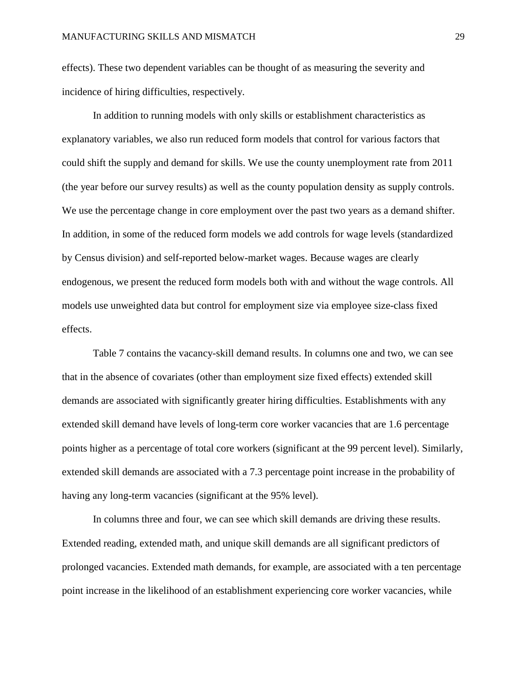effects). These two dependent variables can be thought of as measuring the severity and incidence of hiring difficulties, respectively.

In addition to running models with only skills or establishment characteristics as explanatory variables, we also run reduced form models that control for various factors that could shift the supply and demand for skills. We use the county unemployment rate from 2011 (the year before our survey results) as well as the county population density as supply controls. We use the percentage change in core employment over the past two years as a demand shifter. In addition, in some of the reduced form models we add controls for wage levels (standardized by Census division) and self-reported below-market wages. Because wages are clearly endogenous, we present the reduced form models both with and without the wage controls. All models use unweighted data but control for employment size via employee size-class fixed effects.

Table 7 contains the vacancy-skill demand results. In columns one and two, we can see that in the absence of covariates (other than employment size fixed effects) extended skill demands are associated with significantly greater hiring difficulties. Establishments with any extended skill demand have levels of long-term core worker vacancies that are 1.6 percentage points higher as a percentage of total core workers (significant at the 99 percent level). Similarly, extended skill demands are associated with a 7.3 percentage point increase in the probability of having any long-term vacancies (significant at the 95% level).

In columns three and four, we can see which skill demands are driving these results. Extended reading, extended math, and unique skill demands are all significant predictors of prolonged vacancies. Extended math demands, for example, are associated with a ten percentage point increase in the likelihood of an establishment experiencing core worker vacancies, while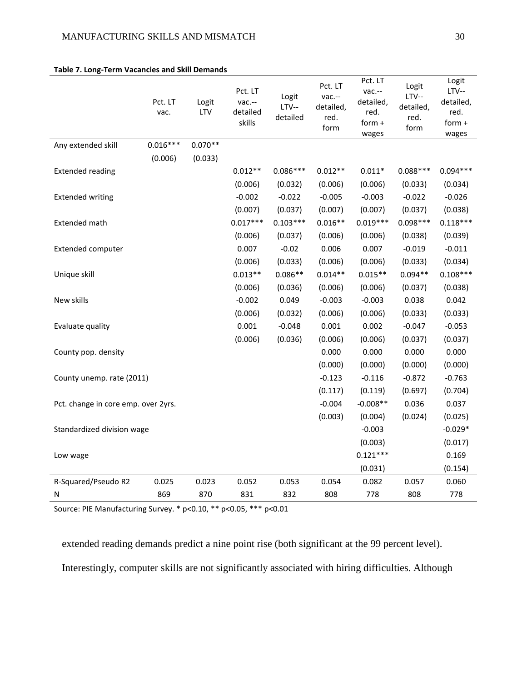|                                     | Pct. LT<br>vac. | Logit<br>LTV | Pct. LT<br>vac .--<br>detailed<br>skills | Logit<br>$LTV--$<br>detailed | Pct. LT<br>vac .--<br>detailed,<br>red.<br>form | Pct. LT<br>vac .--<br>detailed,<br>red.<br>form $+$<br>wages | Logit<br>$LTV--$<br>detailed,<br>red.<br>form | Logit<br>$LTV--$<br>detailed,<br>red.<br>form +<br>wages |
|-------------------------------------|-----------------|--------------|------------------------------------------|------------------------------|-------------------------------------------------|--------------------------------------------------------------|-----------------------------------------------|----------------------------------------------------------|
| Any extended skill                  | $0.016***$      | $0.070**$    |                                          |                              |                                                 |                                                              |                                               |                                                          |
|                                     | (0.006)         | (0.033)      |                                          |                              |                                                 |                                                              |                                               |                                                          |
| <b>Extended reading</b>             |                 |              | $0.012**$                                | $0.086***$                   | $0.012**$                                       | $0.011*$                                                     | $0.088***$                                    | $0.094***$                                               |
|                                     |                 |              | (0.006)                                  | (0.032)                      | (0.006)                                         | (0.006)                                                      | (0.033)                                       | (0.034)                                                  |
| <b>Extended writing</b>             |                 |              | $-0.002$                                 | $-0.022$                     | $-0.005$                                        | $-0.003$                                                     | $-0.022$                                      | $-0.026$                                                 |
|                                     |                 |              | (0.007)                                  | (0.037)                      | (0.007)                                         | (0.007)                                                      | (0.037)                                       | (0.038)                                                  |
| Extended math                       |                 |              | $0.017***$                               | $0.103***$                   | $0.016**$                                       | $0.019***$                                                   | $0.098***$                                    | $0.118***$                                               |
|                                     |                 |              | (0.006)                                  | (0.037)                      | (0.006)                                         | (0.006)                                                      | (0.038)                                       | (0.039)                                                  |
| Extended computer                   |                 |              | 0.007                                    | $-0.02$                      | 0.006                                           | 0.007                                                        | $-0.019$                                      | $-0.011$                                                 |
|                                     |                 |              | (0.006)                                  | (0.033)                      | (0.006)                                         | (0.006)                                                      | (0.033)                                       | (0.034)                                                  |
| Unique skill                        |                 |              | $0.013**$                                | $0.086**$                    | $0.014**$                                       | $0.015**$                                                    | $0.094**$                                     | $0.108***$                                               |
|                                     |                 |              | (0.006)                                  | (0.036)                      | (0.006)                                         | (0.006)                                                      | (0.037)                                       | (0.038)                                                  |
| New skills                          |                 |              | $-0.002$                                 | 0.049                        | $-0.003$                                        | $-0.003$                                                     | 0.038                                         | 0.042                                                    |
|                                     |                 |              | (0.006)                                  | (0.032)                      | (0.006)                                         | (0.006)                                                      | (0.033)                                       | (0.033)                                                  |
| Evaluate quality                    |                 |              | 0.001                                    | $-0.048$                     | 0.001                                           | 0.002                                                        | $-0.047$                                      | $-0.053$                                                 |
|                                     |                 |              | (0.006)                                  | (0.036)                      | (0.006)                                         | (0.006)                                                      | (0.037)                                       | (0.037)                                                  |
| County pop. density                 |                 |              |                                          |                              | 0.000                                           | 0.000                                                        | 0.000                                         | 0.000                                                    |
|                                     |                 |              |                                          |                              | (0.000)                                         | (0.000)                                                      | (0.000)                                       | (0.000)                                                  |
| County unemp. rate (2011)           |                 |              |                                          |                              | $-0.123$                                        | $-0.116$                                                     | $-0.872$                                      | $-0.763$                                                 |
|                                     |                 |              |                                          |                              | (0.117)                                         | (0.119)                                                      | (0.697)                                       | (0.704)                                                  |
| Pct. change in core emp. over 2yrs. |                 |              |                                          |                              | $-0.004$                                        | $-0.008**$                                                   | 0.036                                         | 0.037                                                    |
|                                     |                 |              |                                          |                              | (0.003)                                         | (0.004)                                                      | (0.024)                                       | (0.025)                                                  |
| Standardized division wage          |                 |              |                                          |                              |                                                 | $-0.003$                                                     |                                               | $-0.029*$                                                |
|                                     |                 |              |                                          |                              |                                                 | (0.003)                                                      |                                               | (0.017)                                                  |
| Low wage                            |                 |              |                                          |                              |                                                 | $0.121***$                                                   |                                               | 0.169                                                    |
|                                     |                 |              |                                          |                              |                                                 | (0.031)                                                      |                                               | (0.154)                                                  |
| R-Squared/Pseudo R2                 | 0.025           | 0.023        | 0.052                                    | 0.053                        | 0.054                                           | 0.082                                                        | 0.057                                         | 0.060                                                    |
| N                                   | 869             | 870          | 831                                      | 832                          | 808                                             | 778                                                          | 808                                           | 778                                                      |

# **Table 7. Long-Term Vacancies and Skill Demands**

Source: PIE Manufacturing Survey. \* p<0.10, \*\* p<0.05, \*\*\* p<0.01

extended reading demands predict a nine point rise (both significant at the 99 percent level). Interestingly, computer skills are not significantly associated with hiring difficulties. Although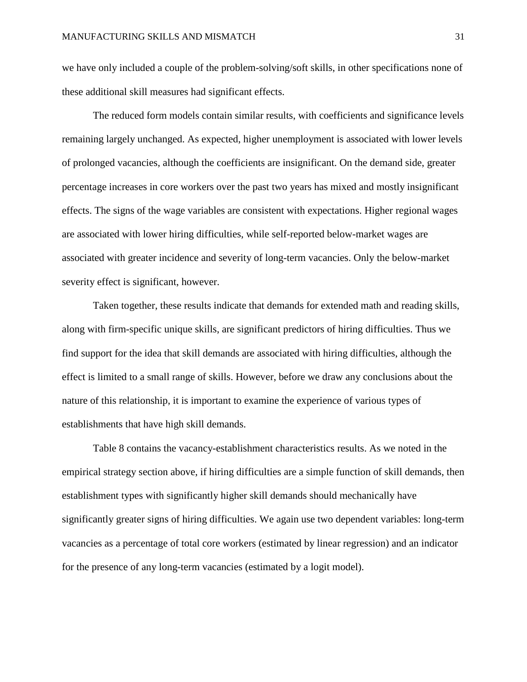we have only included a couple of the problem-solving/soft skills, in other specifications none of these additional skill measures had significant effects.

The reduced form models contain similar results, with coefficients and significance levels remaining largely unchanged. As expected, higher unemployment is associated with lower levels of prolonged vacancies, although the coefficients are insignificant. On the demand side, greater percentage increases in core workers over the past two years has mixed and mostly insignificant effects. The signs of the wage variables are consistent with expectations. Higher regional wages are associated with lower hiring difficulties, while self-reported below-market wages are associated with greater incidence and severity of long-term vacancies. Only the below-market severity effect is significant, however.

Taken together, these results indicate that demands for extended math and reading skills, along with firm-specific unique skills, are significant predictors of hiring difficulties. Thus we find support for the idea that skill demands are associated with hiring difficulties, although the effect is limited to a small range of skills. However, before we draw any conclusions about the nature of this relationship, it is important to examine the experience of various types of establishments that have high skill demands.

Table 8 contains the vacancy-establishment characteristics results. As we noted in the empirical strategy section above, if hiring difficulties are a simple function of skill demands, then establishment types with significantly higher skill demands should mechanically have significantly greater signs of hiring difficulties. We again use two dependent variables: long-term vacancies as a percentage of total core workers (estimated by linear regression) and an indicator for the presence of any long-term vacancies (estimated by a logit model).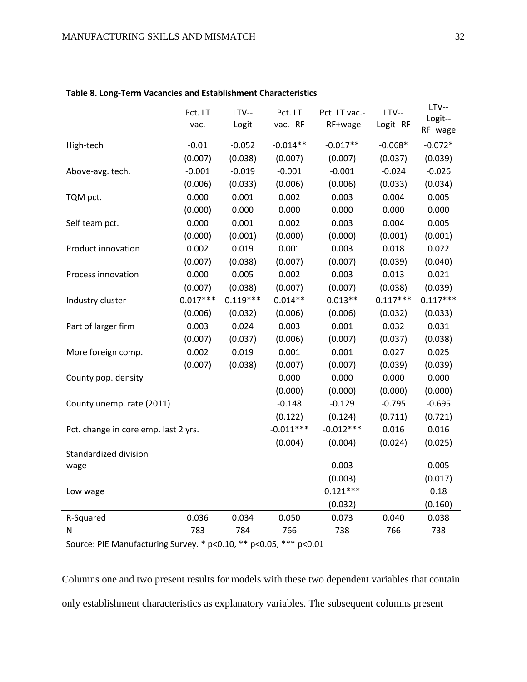|                                      | Pct. LT<br>vac. | $LTV--$<br>Logit | Pct. LT<br>vac .-- RF | Pct. LT vac .-<br>-RF+wage | $LTV--$<br>Logit--RF | $LTV--$<br>Logit--<br>RF+wage |
|--------------------------------------|-----------------|------------------|-----------------------|----------------------------|----------------------|-------------------------------|
| High-tech                            | $-0.01$         | $-0.052$         | $-0.014**$            | $-0.017**$                 | $-0.068*$            | $-0.072*$                     |
|                                      | (0.007)         | (0.038)          | (0.007)               | (0.007)                    | (0.037)              | (0.039)                       |
| Above-avg. tech.                     | $-0.001$        | $-0.019$         | $-0.001$              | $-0.001$                   | $-0.024$             | $-0.026$                      |
|                                      | (0.006)         | (0.033)          | (0.006)               | (0.006)                    | (0.033)              | (0.034)                       |
| TQM pct.                             | 0.000           | 0.001            | 0.002                 | 0.003                      | 0.004                | 0.005                         |
|                                      | (0.000)         | 0.000            | 0.000                 | 0.000                      | 0.000                | 0.000                         |
| Self team pct.                       | 0.000           | 0.001            | 0.002                 | 0.003                      | 0.004                | 0.005                         |
|                                      | (0.000)         | (0.001)          | (0.000)               | (0.000)                    | (0.001)              | (0.001)                       |
| Product innovation                   | 0.002           | 0.019            | 0.001                 | 0.003                      | 0.018                | 0.022                         |
|                                      | (0.007)         | (0.038)          | (0.007)               | (0.007)                    | (0.039)              | (0.040)                       |
| Process innovation                   | 0.000           | 0.005            | 0.002                 | 0.003                      | 0.013                | 0.021                         |
|                                      | (0.007)         | (0.038)          | (0.007)               | (0.007)                    | (0.038)              | (0.039)                       |
| Industry cluster                     | $0.017***$      | $0.119***$       | $0.014**$             | $0.013**$                  | $0.117***$           | $0.117***$                    |
|                                      | (0.006)         | (0.032)          | (0.006)               | (0.006)                    | (0.032)              | (0.033)                       |
| Part of larger firm                  | 0.003           | 0.024            | 0.003                 | 0.001                      | 0.032                | 0.031                         |
|                                      | (0.007)         | (0.037)          | (0.006)               | (0.007)                    | (0.037)              | (0.038)                       |
| More foreign comp.                   | 0.002           | 0.019            | 0.001                 | 0.001                      | 0.027                | 0.025                         |
|                                      | (0.007)         | (0.038)          | (0.007)               | (0.007)                    | (0.039)              | (0.039)                       |
| County pop. density                  |                 |                  | 0.000                 | 0.000                      | 0.000                | 0.000                         |
|                                      |                 |                  | (0.000)               | (0.000)                    | (0.000)              | (0.000)                       |
| County unemp. rate (2011)            |                 |                  | $-0.148$              | $-0.129$                   | $-0.795$             | $-0.695$                      |
|                                      |                 |                  | (0.122)               | (0.124)                    | (0.711)              | (0.721)                       |
| Pct. change in core emp. last 2 yrs. |                 |                  | $-0.011***$           | $-0.012***$                | 0.016                | 0.016                         |
|                                      |                 |                  | (0.004)               | (0.004)                    | (0.024)              | (0.025)                       |
| Standardized division                |                 |                  |                       |                            |                      |                               |
| wage                                 |                 |                  |                       | 0.003                      |                      | 0.005                         |
|                                      |                 |                  |                       | (0.003)                    |                      | (0.017)                       |
| Low wage                             |                 |                  |                       | $0.121***$                 |                      | 0.18                          |
|                                      |                 |                  |                       | (0.032)                    |                      | (0.160)                       |
| R-Squared                            | 0.036           | 0.034            | 0.050                 | 0.073                      | 0.040                | 0.038                         |
| N                                    | 783             | 784              | 766                   | 738                        | 766                  | 738                           |

# **Table 8. Long-Term Vacancies and Establishment Characteristics**

Source: PIE Manufacturing Survey. \* p<0.10, \*\* p<0.05, \*\*\* p<0.01

Columns one and two present results for models with these two dependent variables that contain only establishment characteristics as explanatory variables. The subsequent columns present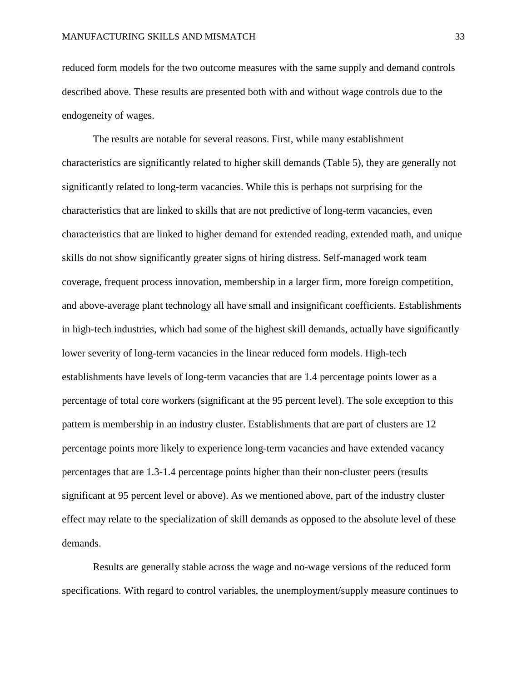reduced form models for the two outcome measures with the same supply and demand controls described above. These results are presented both with and without wage controls due to the endogeneity of wages.

The results are notable for several reasons. First, while many establishment characteristics are significantly related to higher skill demands (Table 5), they are generally not significantly related to long-term vacancies. While this is perhaps not surprising for the characteristics that are linked to skills that are not predictive of long-term vacancies, even characteristics that are linked to higher demand for extended reading, extended math, and unique skills do not show significantly greater signs of hiring distress. Self-managed work team coverage, frequent process innovation, membership in a larger firm, more foreign competition, and above-average plant technology all have small and insignificant coefficients. Establishments in high-tech industries, which had some of the highest skill demands, actually have significantly lower severity of long-term vacancies in the linear reduced form models. High-tech establishments have levels of long-term vacancies that are 1.4 percentage points lower as a percentage of total core workers (significant at the 95 percent level). The sole exception to this pattern is membership in an industry cluster. Establishments that are part of clusters are 12 percentage points more likely to experience long-term vacancies and have extended vacancy percentages that are 1.3-1.4 percentage points higher than their non-cluster peers (results significant at 95 percent level or above). As we mentioned above, part of the industry cluster effect may relate to the specialization of skill demands as opposed to the absolute level of these demands.

Results are generally stable across the wage and no-wage versions of the reduced form specifications. With regard to control variables, the unemployment/supply measure continues to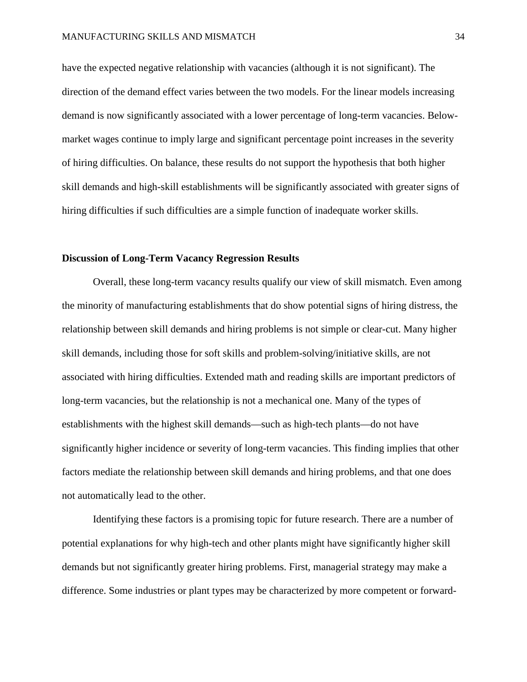have the expected negative relationship with vacancies (although it is not significant). The direction of the demand effect varies between the two models. For the linear models increasing demand is now significantly associated with a lower percentage of long-term vacancies. Belowmarket wages continue to imply large and significant percentage point increases in the severity of hiring difficulties. On balance, these results do not support the hypothesis that both higher skill demands and high-skill establishments will be significantly associated with greater signs of hiring difficulties if such difficulties are a simple function of inadequate worker skills.

# **Discussion of Long-Term Vacancy Regression Results**

Overall, these long-term vacancy results qualify our view of skill mismatch. Even among the minority of manufacturing establishments that do show potential signs of hiring distress, the relationship between skill demands and hiring problems is not simple or clear-cut. Many higher skill demands, including those for soft skills and problem-solving/initiative skills, are not associated with hiring difficulties. Extended math and reading skills are important predictors of long-term vacancies, but the relationship is not a mechanical one. Many of the types of establishments with the highest skill demands—such as high-tech plants—do not have significantly higher incidence or severity of long-term vacancies. This finding implies that other factors mediate the relationship between skill demands and hiring problems, and that one does not automatically lead to the other.

Identifying these factors is a promising topic for future research. There are a number of potential explanations for why high-tech and other plants might have significantly higher skill demands but not significantly greater hiring problems. First, managerial strategy may make a difference. Some industries or plant types may be characterized by more competent or forward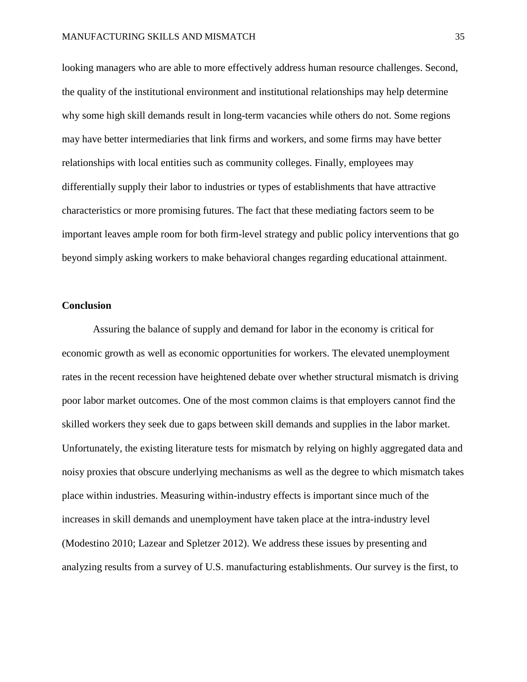looking managers who are able to more effectively address human resource challenges. Second, the quality of the institutional environment and institutional relationships may help determine why some high skill demands result in long-term vacancies while others do not. Some regions may have better intermediaries that link firms and workers, and some firms may have better relationships with local entities such as community colleges. Finally, employees may differentially supply their labor to industries or types of establishments that have attractive characteristics or more promising futures. The fact that these mediating factors seem to be important leaves ample room for both firm-level strategy and public policy interventions that go beyond simply asking workers to make behavioral changes regarding educational attainment.

# **Conclusion**

Assuring the balance of supply and demand for labor in the economy is critical for economic growth as well as economic opportunities for workers. The elevated unemployment rates in the recent recession have heightened debate over whether structural mismatch is driving poor labor market outcomes. One of the most common claims is that employers cannot find the skilled workers they seek due to gaps between skill demands and supplies in the labor market. Unfortunately, the existing literature tests for mismatch by relying on highly aggregated data and noisy proxies that obscure underlying mechanisms as well as the degree to which mismatch takes place within industries. Measuring within-industry effects is important since much of the increases in skill demands and unemployment have taken place at the intra-industry level (Modestino 2010; Lazear and Spletzer 2012). We address these issues by presenting and analyzing results from a survey of U.S. manufacturing establishments. Our survey is the first, to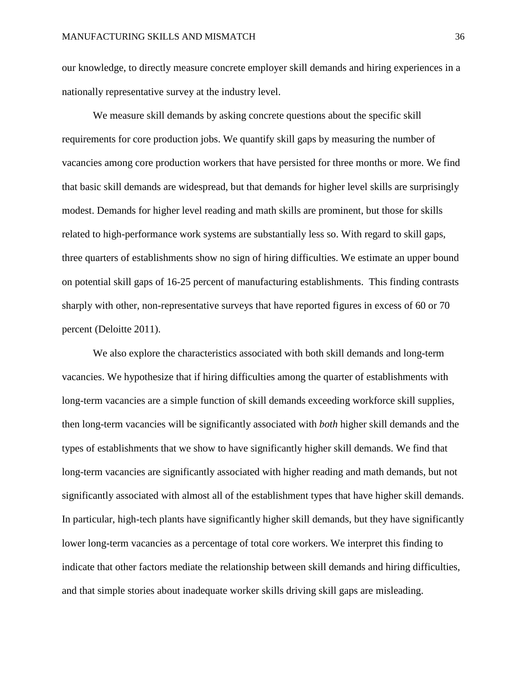our knowledge, to directly measure concrete employer skill demands and hiring experiences in a nationally representative survey at the industry level.

We measure skill demands by asking concrete questions about the specific skill requirements for core production jobs. We quantify skill gaps by measuring the number of vacancies among core production workers that have persisted for three months or more. We find that basic skill demands are widespread, but that demands for higher level skills are surprisingly modest. Demands for higher level reading and math skills are prominent, but those for skills related to high-performance work systems are substantially less so. With regard to skill gaps, three quarters of establishments show no sign of hiring difficulties. We estimate an upper bound on potential skill gaps of 16-25 percent of manufacturing establishments. This finding contrasts sharply with other, non-representative surveys that have reported figures in excess of 60 or 70 percent (Deloitte 2011).

We also explore the characteristics associated with both skill demands and long-term vacancies. We hypothesize that if hiring difficulties among the quarter of establishments with long-term vacancies are a simple function of skill demands exceeding workforce skill supplies, then long-term vacancies will be significantly associated with *both* higher skill demands and the types of establishments that we show to have significantly higher skill demands. We find that long-term vacancies are significantly associated with higher reading and math demands, but not significantly associated with almost all of the establishment types that have higher skill demands. In particular, high-tech plants have significantly higher skill demands, but they have significantly lower long-term vacancies as a percentage of total core workers. We interpret this finding to indicate that other factors mediate the relationship between skill demands and hiring difficulties, and that simple stories about inadequate worker skills driving skill gaps are misleading.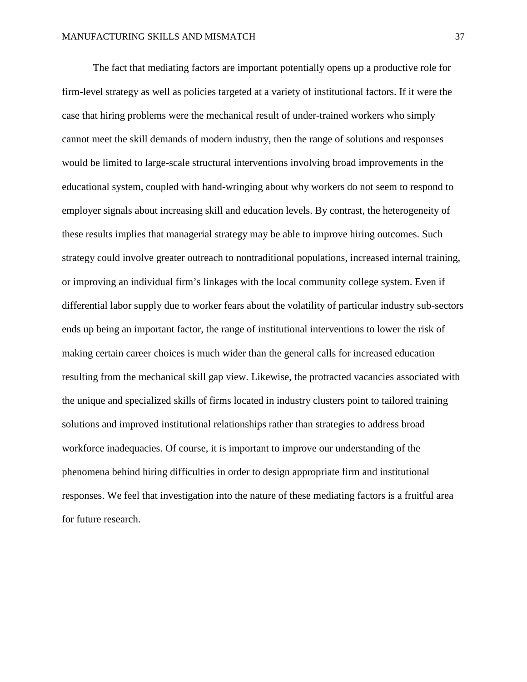The fact that mediating factors are important potentially opens up a productive role for firm-level strategy as well as policies targeted at a variety of institutional factors. If it were the case that hiring problems were the mechanical result of under-trained workers who simply cannot meet the skill demands of modern industry, then the range of solutions and responses would be limited to large-scale structural interventions involving broad improvements in the educational system, coupled with hand-wringing about why workers do not seem to respond to employer signals about increasing skill and education levels. By contrast, the heterogeneity of these results implies that managerial strategy may be able to improve hiring outcomes. Such strategy could involve greater outreach to nontraditional populations, increased internal training, or improving an individual firm's linkages with the local community college system. Even if differential labor supply due to worker fears about the volatility of particular industry sub-sectors ends up being an important factor, the range of institutional interventions to lower the risk of making certain career choices is much wider than the general calls for increased education resulting from the mechanical skill gap view. Likewise, the protracted vacancies associated with the unique and specialized skills of firms located in industry clusters point to tailored training solutions and improved institutional relationships rather than strategies to address broad workforce inadequacies. Of course, it is important to improve our understanding of the phenomena behind hiring difficulties in order to design appropriate firm and institutional responses. We feel that investigation into the nature of these mediating factors is a fruitful area for future research.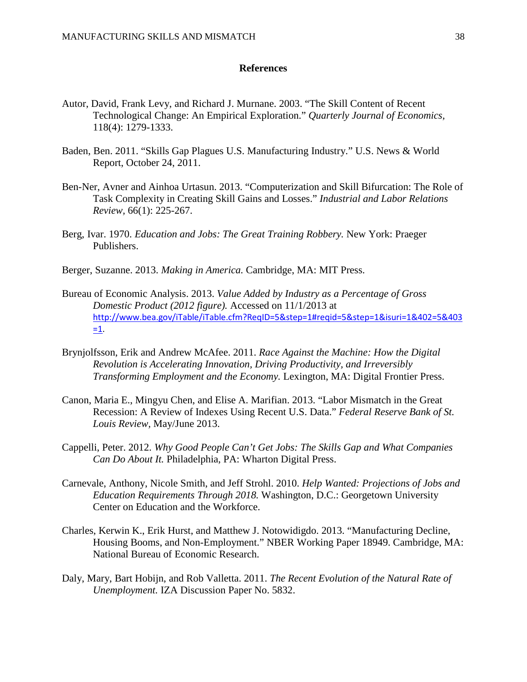# **References**

- Autor, David, Frank Levy, and Richard J. Murnane. 2003. "The Skill Content of Recent Technological Change: An Empirical Exploration." *Quarterly Journal of Economics,*  118(4): 1279-1333.
- Baden, Ben. 2011. "Skills Gap Plagues U.S. Manufacturing Industry." U.S. News & World Report, October 24, 2011.
- Ben-Ner, Avner and Ainhoa Urtasun. 2013. "Computerization and Skill Bifurcation: The Role of Task Complexity in Creating Skill Gains and Losses." *Industrial and Labor Relations Review,* 66(1): 225-267.
- Berg, Ivar. 1970. *Education and Jobs: The Great Training Robbery.* New York: Praeger Publishers.
- Berger, Suzanne. 2013. *Making in America.* Cambridge, MA: MIT Press.
- Bureau of Economic Analysis. 2013. *Value Added by Industry as a Percentage of Gross Domestic Product (2012 figure).* Accessed on 11/1/2013 at [http://www.bea.gov/iTable/iTable.cfm?ReqID=5&step=1#reqid=5&step=1&isuri=1&402=5&403](http://www.bea.gov/iTable/iTable.cfm?ReqID=5&step=1#reqid=5&step=1&isuri=1&402=5&403=1)  $=1$ .
- Brynjolfsson, Erik and Andrew McAfee. 2011. *Race Against the Machine: How the Digital Revolution is Accelerating Innovation, Driving Productivity, and Irreversibly Transforming Employment and the Economy.* Lexington, MA: Digital Frontier Press.
- Canon, Maria E., Mingyu Chen, and Elise A. Marifian. 2013. "Labor Mismatch in the Great Recession: A Review of Indexes Using Recent U.S. Data." *Federal Reserve Bank of St. Louis Review,* May/June 2013.
- Cappelli, Peter. 2012. *Why Good People Can't Get Jobs: The Skills Gap and What Companies Can Do About It.* Philadelphia, PA: Wharton Digital Press.
- Carnevale, Anthony, Nicole Smith, and Jeff Strohl. 2010. *Help Wanted: Projections of Jobs and Education Requirements Through 2018.* Washington, D.C.: Georgetown University Center on Education and the Workforce.
- Charles, Kerwin K., Erik Hurst, and Matthew J. Notowidigdo. 2013. "Manufacturing Decline, Housing Booms, and Non-Employment." NBER Working Paper 18949. Cambridge, MA: National Bureau of Economic Research.
- Daly, Mary, Bart Hobijn, and Rob Valletta. 2011. *The Recent Evolution of the Natural Rate of Unemployment.* IZA Discussion Paper No. 5832.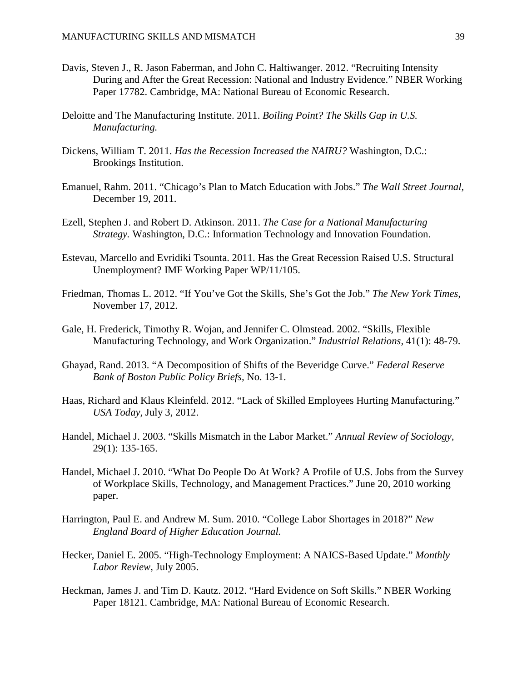- Davis, Steven J., R. Jason Faberman, and John C. Haltiwanger. 2012. "Recruiting Intensity During and After the Great Recession: National and Industry Evidence." NBER Working Paper 17782. Cambridge, MA: National Bureau of Economic Research.
- Deloitte and The Manufacturing Institute. 2011. *Boiling Point? The Skills Gap in U.S. Manufacturing.*
- Dickens, William T. 2011. *Has the Recession Increased the NAIRU?* Washington, D.C.: Brookings Institution.
- Emanuel, Rahm. 2011. "Chicago's Plan to Match Education with Jobs." *The Wall Street Journal,*  December 19, 2011.
- Ezell, Stephen J. and Robert D. Atkinson. 2011. *The Case for a National Manufacturing Strategy.* Washington, D.C.: Information Technology and Innovation Foundation.
- Estevau, Marcello and Evridiki Tsounta. 2011. Has the Great Recession Raised U.S. Structural Unemployment? IMF Working Paper WP/11/105.
- Friedman, Thomas L. 2012. "If You've Got the Skills, She's Got the Job." *The New York Times,*  November 17, 2012.
- Gale, H. Frederick, Timothy R. Wojan, and Jennifer C. Olmstead. 2002. "Skills, Flexible Manufacturing Technology, and Work Organization." *Industrial Relations,* 41(1): 48-79.
- Ghayad, Rand. 2013. "A Decomposition of Shifts of the Beveridge Curve." *Federal Reserve Bank of Boston Public Policy Briefs,* No. 13-1.
- Haas, Richard and Klaus Kleinfeld. 2012. "Lack of Skilled Employees Hurting Manufacturing." *USA Today,* July 3, 2012.
- Handel, Michael J. 2003. "Skills Mismatch in the Labor Market." *Annual Review of Sociology,* 29(1): 135-165.
- Handel, Michael J. 2010. "What Do People Do At Work? A Profile of U.S. Jobs from the Survey of Workplace Skills, Technology, and Management Practices." June 20, 2010 working paper.
- Harrington, Paul E. and Andrew M. Sum. 2010. "College Labor Shortages in 2018?" *New England Board of Higher Education Journal.*
- Hecker, Daniel E. 2005. "High-Technology Employment: A NAICS-Based Update." *Monthly Labor Review,* July 2005.
- Heckman, James J. and Tim D. Kautz. 2012. "Hard Evidence on Soft Skills." NBER Working Paper 18121. Cambridge, MA: National Bureau of Economic Research.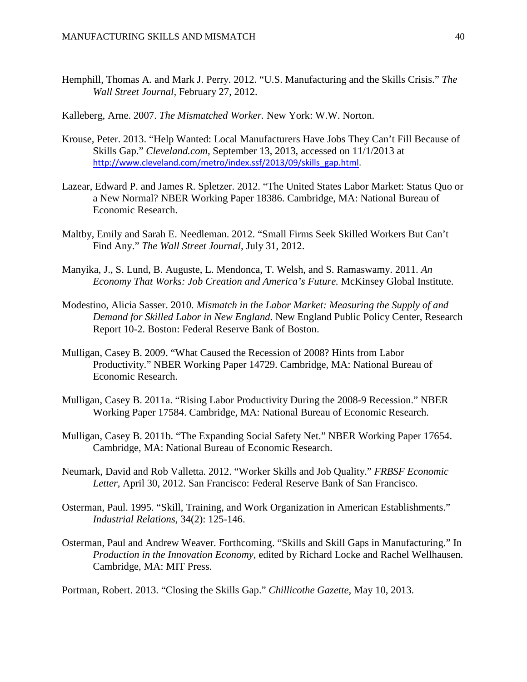Hemphill, Thomas A. and Mark J. Perry. 2012. "U.S. Manufacturing and the Skills Crisis." *The Wall Street Journal,* February 27, 2012.

Kalleberg, Arne. 2007. *The Mismatched Worker.* New York: W.W. Norton.

- Krouse, Peter. 2013. "Help Wanted: Local Manufacturers Have Jobs They Can't Fill Because of Skills Gap." *Cleveland.com,* September 13, 2013, accessed on 11/1/2013 at [http://www.cleveland.com/metro/index.ssf/2013/09/skills\\_gap.html.](http://www.cleveland.com/metro/index.ssf/2013/09/skills_gap.html)
- Lazear, Edward P. and James R. Spletzer. 2012. "The United States Labor Market: Status Quo or a New Normal? NBER Working Paper 18386. Cambridge, MA: National Bureau of Economic Research.
- Maltby, Emily and Sarah E. Needleman. 2012. "Small Firms Seek Skilled Workers But Can't Find Any." *The Wall Street Journal,* July 31, 2012.
- Manyika, J., S. Lund, B. Auguste, L. Mendonca, T. Welsh, and S. Ramaswamy. 2011. *An Economy That Works: Job Creation and America's Future.* McKinsey Global Institute.
- Modestino, Alicia Sasser. 2010. *Mismatch in the Labor Market: Measuring the Supply of and Demand for Skilled Labor in New England.* New England Public Policy Center, Research Report 10-2. Boston: Federal Reserve Bank of Boston.
- Mulligan, Casey B. 2009. "What Caused the Recession of 2008? Hints from Labor Productivity." NBER Working Paper 14729. Cambridge, MA: National Bureau of Economic Research.
- Mulligan, Casey B. 2011a. "Rising Labor Productivity During the 2008-9 Recession." NBER Working Paper 17584. Cambridge, MA: National Bureau of Economic Research.
- Mulligan, Casey B. 2011b. "The Expanding Social Safety Net." NBER Working Paper 17654. Cambridge, MA: National Bureau of Economic Research.
- Neumark, David and Rob Valletta. 2012. "Worker Skills and Job Quality." *FRBSF Economic Letter,* April 30, 2012. San Francisco: Federal Reserve Bank of San Francisco.
- Osterman, Paul. 1995. "Skill, Training, and Work Organization in American Establishments." *Industrial Relations,* 34(2): 125-146.
- Osterman, Paul and Andrew Weaver. Forthcoming. "Skills and Skill Gaps in Manufacturing." In *Production in the Innovation Economy,* edited by Richard Locke and Rachel Wellhausen. Cambridge, MA: MIT Press.

Portman, Robert. 2013. "Closing the Skills Gap." *Chillicothe Gazette,* May 10, 2013.